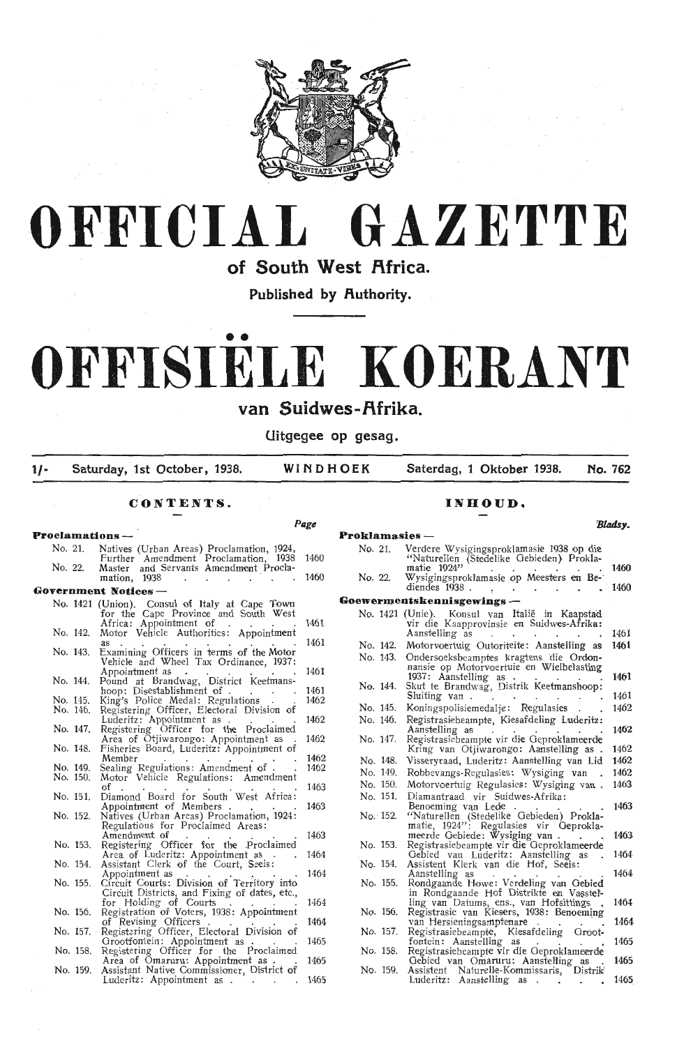



of South West Africa.

Published by Authority.

# •• **OFFISIELE KOERANT**

van Suidwes-Afrika.

Uitgegee op gesag.

1/- Saturday, 1st October, 1938. WINDHOEK Saterdag, 1 Oktober 1938. No. 762

## **CONTENTS.**

## **INHOUD.**

**Page Proclamations** - No. 21. Natives (Urban Areas) Proclamation, 1924, Further Amendment Proclamation, 1938 No. 22. Master and Servants Amendment Prodamation, 1938 . . . . . . Government Notices --<br>No. 1421 (Union). Consul of Italy at Cape Town No. 1421 (Union). Consul of Italy at Cape Town for the Cape Province and South West Africa: Appointment of . . . . No. 142. Motor V,ehicle Authoriti-es: Appointment as . . . . . . . . . No. 143. Examining Offieers in "berms of the Motor Examining Officers in terms of the Motor<br>Vehicle and Wheel Tax Ordinance, 1937:<br>Appointment as Appointment as **a mullet and a brandwag**, District Keetmans-<br>
hoop: Disestablishment of .<br>
No. 145. King's Police Medal : Regulations .<br>
No. 146. Registering Officer, Electoral Division of Luderitz: Appointment as .<br>No. 147. Registering Officer for the Proclaimed<br>Area of Otjiwarongo: Appointment as No. 148. Fisheries Board, Luderitz: Appointment of No. 149. Sealing Reguiations: Amendment of .<br>No. 150. Motor Vehicle Regulations: Amendment No. 151. Diamond Board for South West Africa<br>Appointment of Members No. 152. Natives (Urban Areas) Proclamation, 1924<br>Regulations for Proclaimed Areas: Registering Officer for the .Proclaimed Area of Luderitz: Appointment as .<br>No. 154. Assistant Clerk of the Court, Seeis: Area of Luderitz: Appointment as . No. 154. Assistant Cl-erk of the Court, s ~eis : Appointment as . . . , . . No. 155. Circuit Courts: Division of T•erritory into Circuit Districts, and Fixing of dates, etc., for Holding of Courts . . . . No. 156. Registration of Voters, 1938: Appointment of Revising Officers .<br>No. 157. Registering Officer, Electoral Division of Grootfoni:ein: Appoini:ment as . . . No. 158. Registering Officer for the Pr,oclaimed No. 159. Assistant Native Commissioner, District of Luderitz: Appointment as 1460 1460 1461 146 146 1461 1462 1462  $146$  $1462$ 1463  $146'$ 1463 1463 1464 1464 1464 1464 146 146  $1465$ *'Bladsy.*  **Proklamasies** - No. 21. No. 22 Verdere Wysigingsproklamasie 1938 op die "Naturellen (Stedelike Gebieden) Prokla-<br>"Naturellen (Stedelike Gebieden) Prokla-<br>matie 1924" matie 1924<br>Wysigingsproklamasie op Meesters en Be<br>diendes 1938 . **Gaewermentskennisgewings** - No. 1421 (Unie). Konsul van Italie in Kaapstad vir die Kaapprovinsie en Suidwes-Afrika: Aanstelling as No. 142. Moforvoertuig Outoriteite: Aanstelling as No. 143. Ondersoeksbeampies kragtens ·die Ordon- nansie op Moforvoertuie en Wielbelasting 1937: Aan\$telling as . . . . . No. 144. Skut te Brandwag, Distrik Keetmanshoop: Sluiting van No. 145. Koningspolisiemedalje: Regulasies<br>No. 146. Registrasiebeampte. Kiesafdeling L Registrasiebeampte, Kiesafdeling Luderitz<br>Aanstelling as No. 147. Registrasiebeampte vir die Geproklameerde Kring van Otjiwarongo: Aanstelling as No. 148. Visseryraad, Luderitz: Aanstelling van Lid<br>No. 149. Robbevangs-Regulasies: Wysiging van No. 149. Robbevangs-Regulasies: Wysiging van No. 150. Motorvoertuig Regulasies: Wysiging van .<br>No. 151. Diamantraad vir Suidwes-Afrika: No. 151. Diamantraad vir Suidwes-Afrika: No. 152. "Naturellen (Stedelike Gebieden) Proklamatie, 1924": Regulasies vir Geproklamatie, 1924": Regulasies vir Geproklameerde Gebiede: Wysiging van .<br>
meerde Gebiede: Wysiging van .<br>
No. 153. Registrasiebeampte vir die Aanstdling as . . . . . . No. 155. Rondgaande Howe: Verde}ing van Oebied in Rondgaande Hof Distrikte en Vasstelling van Datums, ens., van Hofsittings<br>
No. 156. Registrasie van Kiesers, 1938: Benoeming<br>
van Hersieningsamptenare<br>
No. 157. Registrasiebeampte, Kiesafdeling Groot<br>
fontein: Aanstelling as font-ein : AanstelHng as . . . . No. 158. Registrasiebeampte vir die Geproklameerde Gebied van Omaruru: Aanstel!ing as . No. 159. Assistent NatureUe-Kommissaris, Distrik<sup>1</sup> Luderitz: Aanstelling as **1460 1460**   $146$ 1461 1461 1461 1462 1462 1462 1469 1462 1463 1463 1463 1464 1464 1464 146 1465 146 146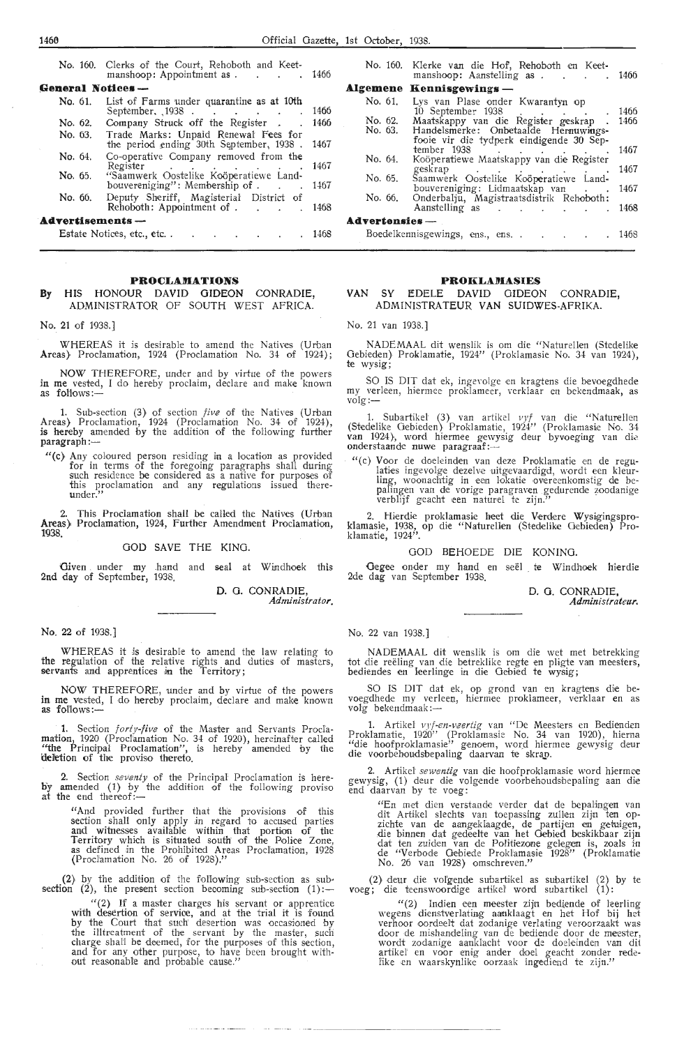No. 160. Clerks of the Court, Rehoboth and Keetmanshoop: Appointment as . . . . 1466 **General Notices**<br>No. 61. List of List of Farms under quarantine as at 10th September. 1938 . . . . . . 1466 No. 62. Company Struck off the Register . . 1466 **No.** 63. Trade Marks: Unpaid Renewal Fees for the period ending 30th September, 1938 . 1467 **No.** 64. Co-operative Company removed from the Register . . . . . . . . . 1467 **No. 65.** "Saamwerk Oostelike Koöperatiewe Land-<br>bouvereniging": Membership of . . . . . . 1467 No. 66. Deputy Sheriff, Magisterial District of Rehoboth: Appointment of . . . . 1468 **Advertisements –**<br>**Advertisements –** Estak Notices, e-tc., etc .. 1468

#### **PROCLAMATIONS**

#### **By** HIS HONOUR DAVID GIDEON CONRADIE, ADMINISTRATOR OF SOUTH WEST AFRICA.

No. 21 of 1938.]

WHEREAS it is desirable to amend the Natives (Urban Areas) Proclamation, 1924 (Proclamation No. 34 of 1924);

NOW THEREFORE, under and by virtue of the powers in me vested, I do hereby proclaim, declare and make known as follows :-

**1.** Sub-section (3) of section five of the Natives (Urban Areas) Proclamation, 1924 (Proclamation No. 34 of 1924), is hereby amended by the addition of the following further  $parag$ raph :-

"(c) Any coloured person residing in a location as provided for in terms of the foregoing paragraphs shall during such residence be considered as a native for purposes of this proclamation and any regulations issued thereunder."

2. This Proclamation shall be called the Natives (Urban Areas), Proclamation, 1924, Further Amendment Proclamation, 1938.

#### GOD SAVE THE KING.

Given under my hand and seal at Windhoek this 2nd day of September, 1938,

> D. G. CONRADIE. *Administrator.*

**No.** 22 of 1938.]

WHEREAS it is desirable to amend the law relating *to*  the regulation of the relative rights and duties of masters, servants and apprentices in the Territory;

NOW THEREFORE, under and by virtue of the powers **in me vested, I do hereby proclaim, declare and make known as <b>follows**:—

**1. Section** *forty-five* of the Master and Servants Procla**mation, 1920** (Proclamation No. 34 of 1920), hereinafter called "the Principal Proclamation", is hereby amended by the deletion of the proviso thereto.

2. Section *seventy* of the Principal Proclamation is hereby amended (1) by the addition of the following proviso at the end thereof:-

> "And provided further that the provisions of this<br>section shall only apply in regard to accused parties and witnesses available within that portion of the Territory which is situated south of the Police Zone, as defined in the Prohibited Areas Proclamation, 1928 (Proclamation No. 26 of 1928)."

(2) by the addition of the following sub-section as subsection (2), the present section becoming sub-section  $(1)$ :

" (2) If a master charges his servant or apprentice with desertion of servioe, and at the trial it is found by the Court that such desertion was occasioned by the il'ltreatment of the servant by the master, such charge shall be deemed, for the purposes of this section, and for any other purpose, to have been brought without reasonable and probable cause."

|                       | No. 160. Klerke van die Hof, Rehoboth en Keet-<br>manshoop: Aanstelling as 1466                                                            |              |  |  |  |
|-----------------------|--------------------------------------------------------------------------------------------------------------------------------------------|--------------|--|--|--|
|                       | Algemene Kennisgewings-                                                                                                                    |              |  |  |  |
| No. 61.               | Lys van Plase onder Kwarantyn op<br>10 September 1938<br>the contract of the contract of                                                   | 1466         |  |  |  |
| No. 62.<br>No. 63.    | Maatskappy van die Register geskrap<br>Handelsmerke: Onbetaalde Hernuwings-                                                                | 1466         |  |  |  |
| No. 64.               | fooie vir die tydperk eindigende 30 Sep-<br>tember 1938<br>and the contract of the contract of<br>Koöperatiewe Maatskappy van die Register | 1467         |  |  |  |
|                       | geskrap<br>and the control of the control of the                                                                                           | 1467         |  |  |  |
| No. 65.               | Saamwerk Oostelike Koöperatiewe Land-                                                                                                      |              |  |  |  |
| No. 66.               | bouvereniging: Lidmaatskap van<br>Onderbalju, Magistraatsdistrik Rehoboth:<br>Aanstelling as                                               | 1467<br>1468 |  |  |  |
| <b>Advertensies</b> — |                                                                                                                                            |              |  |  |  |
|                       | Boedelkennisgewings, ens., ens<br>the contract of the contract of                                                                          | 1468         |  |  |  |

#### **PROKLAMASIES**

#### **VAN** SY EDELE DAVID GIDEON CONRADIE, AOMINISTRATEUR **VAN** SUIDWES-AFRIKA.

#### No. 21 van 1938.]

NADEMAAL dit wenslik is om die "Naturellen (Stedelike Gebieden) Proklamatie, 1924" (Proklamasie No. 34 van 1924), te wysig;

SO IS DIT dat ek, ingevolge en kragtens die bevoegdhede my verleen, hiermee proklameer, verklaar en bekendmaak, as<br>volg:—

1. Subartikel (3) van artikel vyf van die "Naturellen (Stedelike Oebieden) Proklamatie, 1924'' (Proklamasie No. 34<br>van 1924), word hiermee gewysig deur byvoeging van die van 1924), word niermee gewy<br>onderstaande nuwe paragraaf:—

"(c) Voor de doeleinden van deze Proklamatie en de regulaties ingevolge dezelve uitgevaardigd, wordt een kleurling, woonachtig in een lokatie overeenkomstig de bepaling,en van de vorige paragraven gedurende zoodanige verblijf geacht een naturel te zijn."

2. Hierdie proklamasie heet die Verdere Wysigingspro-<br>klamasie, 1938, op die "Naturellen (Stedelike Gebieden) Proklamatie, 1924".

#### GOD BEHOEDE DIE KONING.

Oegee onder my hand en see! te Windhoek hierdie 2de dag van September 1938.

D. 0. CONRADIE,

*Administrateur.* 

No. 22 van 1938.]

NADEMAAL dit wenslik is om die wet met betrekking tot die reëling van die betreklike regte en pligte van meesters, bediendes en leerlinge in die Gebied te wysig;

SO IS DIT dat ek, op grond van en kragtens die bevoegdhede my verleen, hiermee proklameer, verklaar en as<br>volg bekendmaak:—

1. Artikel vyf-en-veertig van "De Meesters en Bedienden Proklamatie, 1920" (Proklamasie No. 34 van 1920), hierna "die hoofproklamasie" genoem, word hiermee gewysig deur die voorbehoudsbepaling daarvan te skrap.

2. Artikel *sewentig* van die hoofproklamasie word hiermee gewysig, (1) deur die volgende voorbehoudsbepaling aan die end daarvan by te voeg:

"En met dien verstande verder dat de bepalingen van<br>dit Artikel slechts van toepassing zullen zijn ten opzichte van de aangeklaagde, de partijen en getuigen, die binnen dat gedeelte van het Gebied beskikbaar zijn dat ten zuiden van de Politiezone gelegen is, zoals in de "Verbode Oebiede Proklamatie" No. 26 van 1928} omschreven."

(2) deur die vol'g,ende subartikel as subartikel (2) by te  $voeg$ ; die teenswoordige artikel word subartikel  $(1)$ :

"(2) Indien een meester zijn bediende of leerling wegens dienstverlating aanklaagt en het Hof bij het verhoor oordeelt dat zodanige verlating veroorzaakt was<br>door de mishandeling van de bediende door de meester, wordt zodanige aanklacht voor de doeieinden van dit artikel en voor enig ander doel geacht zonder redelike en waarskynlike oorzaak ingediend te zijn."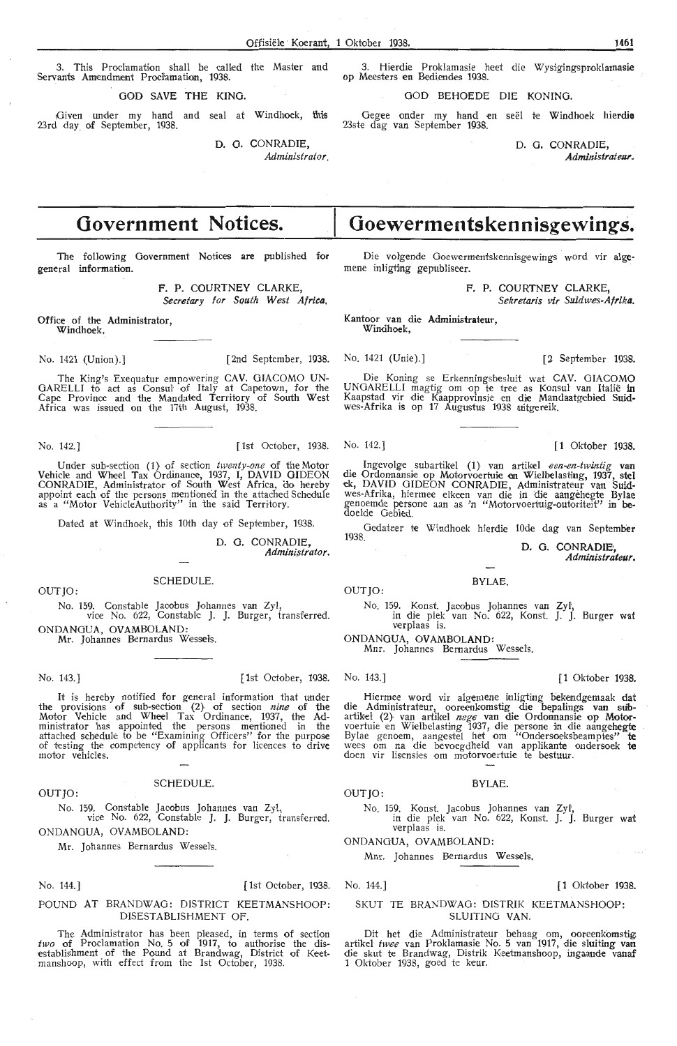This Proclamation shall be called the Master and Servants Amendment Proclamation, 1938.

GOD SAVE THE KING.

Oiven under my hand and seal at Windhoek, this 23rd day of September, 1938.

> D. G. CONRADIE. *Administrator.*

**Government Notices.** 

The following Government Notices are published for general information.

> F. P. COURTNEY CLARKE, Secretary for South West Africa.

Office of the Administrator, Windhoek.

No. 1421 (Union).] [2nd September, 1938. No. 1421 (Unie).] [2 September 1938.

The King's Exequatur empowering CAV. GIACOMO UN-GARELLI to act as Consul of Italy at Capetown, for the Cape Province and the Mandated Territory of South West Africa was issued on the 17th August, 1938.

No. 142.] [1st October, 1938. No. 142.] [1 Oktober 1938.

Under sub-section (1) of section *twenty-one* of the Motor Vehicle and Wheel Tax Ordinanoe, 1937, I, DAVID GIDEON CONRADIE, Administrator of South West Africa, do hereby appoint each of the persons mentioned in the attached Schedule as a "Motor VehicleAuthority" in the said Territory.

Dated at Windhoek, this 10th day of September, 1938.

D. G. CONRADIE, *Admini;strator.* 

OUTJO:

SCHEDULE.

No. 159. Constable Jacobus Johannes van Zyl, vioe No. 622, Constable J. J. Burger, transferred. ONDANOUA, OVAMBOLAND:

Mr. Johannes Bernardus Wessels.

No. 143.) [ 1st October, 1938. No. 143.] [ 1 Oktober 1938.

It is hereby notified for general information that under the provisions of sub-section  $(2)$  of section nine of the Motor Vehicle and Wheel Tax Ordinance, 1937, the Ad-<br>ministrator has appointed the persons mentioned in the attached schedule to be "Examining Officers" for the purpose of testing the competency of applicants for licences to drive motor vehicles.

#### **SCHEDULE**

No. 159. Constable Jacobus Johannes van Zyl, vice No. 622, Constable J. J. Burger, transferred.

ONDANGUA, OVAMBOLAND:

Mr. Johannes Bernardus Wessels.

OUT JO :

No. 144.) [1 st October, 1938. No. 144.] [ **1** Oktober 1938.

POUND AT BRANDWAG: DISTRICT KEETMANSHOOP: DISESTABLISHMENT OF

The Administrator has been pleased, in terms of section two of Proclamation No. 5 of 1917, to authorise the dis- establishment of the Pound at Brandwag, District of Keet- manshoop, with effect from the 1st October, 1938.

Hierdie Proklamasie heet die Wysigingsproklamasie op Meesters en Bediendes 1938.

GOD BEHOEDE DIE KONING.

Gegee onder my hand en seel re Windhoek **hierdie**  23ste dag van September 1938.

> D. G. CONRADIE, *Administrat ew.*

# **Goewermentskennisgewings.**

Die volgende Goewermentskennisgewings word vir algemene inligting gepubliseer.

F. P. COURTNEY CLARKE

Sekretaris vir Suidwes-Afrika.

Kantoor van die Administrateur, Windhoek.

Die Koning se Erkenningsbesluit wat CAV. GIACOMO UNGARELLI magtig om op te tree as Konsut van Italie in Kaapstad vir die Kaapprovinsie en die Mandaatgebied Suid-<br>wes-Afrika is op 17 Augustus 1938 uitgereik.

Ingevolge subartikel (1) van artikel *een-en-twintig* van die Ordonnansie op Motorvoertuie en Wielbelasting, 1937, stel ek, DAVID GIDEON CONRADIE, Administrateur van Suidwes-Afrika, hiermee elkeen van die in die aangehegte Bylae genoemde persone aan as 'n "Motorvoertuig-outoriteit" in be-<br>doelde Gebied.

Oedateer te Windhoek hierdie 10de dag van September

D. G. CONRADIE Administrateur.

#### BYLAE.

No. 159. Konst. Jacobus Johannes van Zyl', in die plek van No. 622, Konst. J. J. Burger wat verplaas is.

ONDANGUA, OVAMBOLAND:

Mnr. Johannes Bemardus Wessels.

OUT JO:

Hiermee word vir algemene inligting bekendgemaak dat die Administrateur, ooreenkomstig die bepalings van sub-<br>artikel (2) van artikel *nege* van die Ordonnansie op Motorvoertuie en Wielbelasting 1937, die persone in die aangehegte Bylae genoem, aangestel het om "Ondersoeksbeamptes" **te** wees om na die bevoegdheid van applikante ondersoek **te**  doen vir lisensies om motorvoertuie te bestuur.

#### BYLAE.

OUTJO:

No. 159. Konst. Jacobus Johannes van Zyl,<br>in die plek van No. 622, Konst. J. J. Burger wat<br>verplaas is.

ONDANOUA, OVAMBOLAND:

Mnr. Johannes Bernardus Wessels.

#### SKUT TE BRANDWAG: DISTRIK KEETMANSHOOP: SLUITING **VAN.**

Dit het die Administrateur behaag om, ooreenkomstig, artikel *twee* van Proklamasie No. 5 van 1917, die sluiting van die skut te Brandwag, Distrik Keetmanshoop, ingaande vanaf 1 Oktober 1938, goed te keur.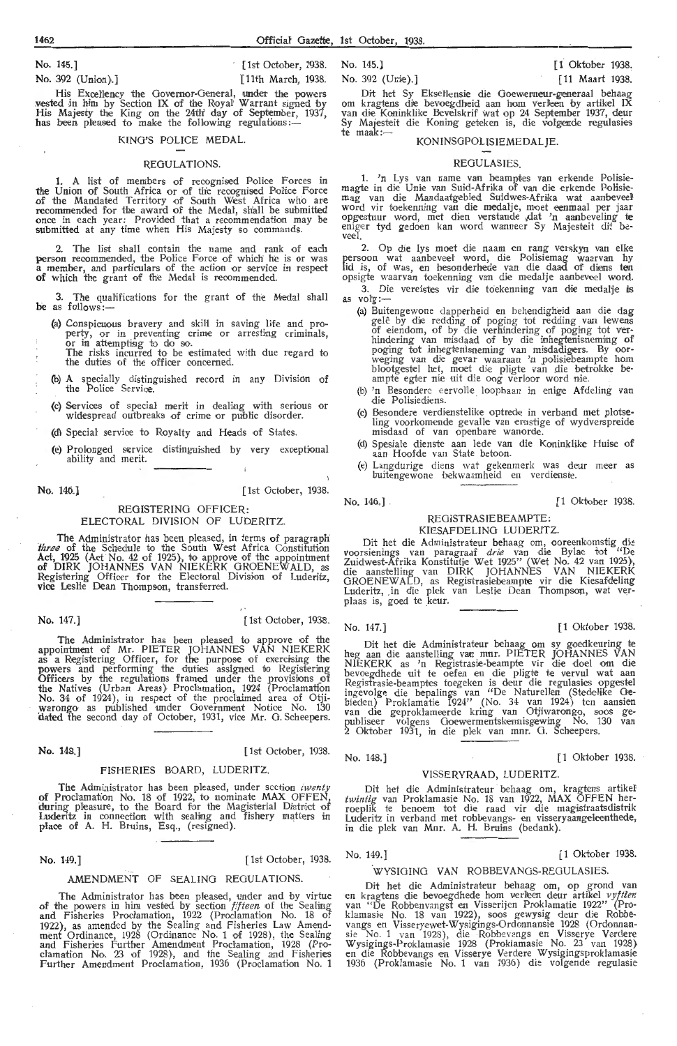No. 145.] [ 1st October, 1938. No. 145.] [ 1 Oktober 1938.

His Excellency the Governor-General, under the powers vested in him by Section IX of the Royal Warrant signed by His Majesty the King on the 24th' day of September, 1937, has been pleased to make the following regulations:-

#### KING'S POLICE MEDAL.

#### REGULATIONS.

1. A list of members of recognised Police Forces in the Union of South Africa or of the recognised Police Force of the Mandated Territory of South West Africa who are recommended for the award of the Medal, shall be submitted<br>once in each year: Provided that a recommendation may be submitted at any time when His Majesty so commands.

2. The list shall contain the name and rank of each person recommended, the Police Force of which he is or was **a** member, and particulars of the action or service in respect of which the grant of the Medal is recommended.

3. The qualifications for the grant of the Medal shall be as follows:-

(a) Conspicuous bravery and skill in saving life and pro-<br>perty, or in preventing crime or arresting criminals, or in attemptisig to do so.<br>The risks incurred to be estimated with due regard to<br>the duties of the officer concerned.

(b) **A** specially distinguished record in any Division of the Polioe Servioe.

(c) Services of special merit in dealing with serious or widespread outbreaks of crime or public disorder.

(d) Special servioe to Royalty and Heads of States.

(e) Prolonged service distinguished by very exceptional ability and merit.

No. 146,] [ 1st October, 1938.

#### REGISTERING OFFICER: ELECTORAL DIVISION OF LUDERITZ.

. The Administrator has been pleased, in terms of paragraph' *three* of the Schedule to the South West Africa Constitution<br>Act, 1925 (Act No. 42 of 1925), to approve of the appointment of DIRK JOHANNES VAN NIEKERK GROENEWALD, as Registering Officer for the Electoral Division of Luderitz, vice Leslie Dean Thompson, transferred.

No. 147.] [ 1st October, 1938.

The Administrator has been pleased to approve of the appointment of Mr. PIETER JOHANNES VAN NIEKERK<br>as a Registering Officer, for the purpose of exercising the powers and performing the duties assigned to Registering Officers by the regulations framed under the provisions of the Natives (Urban Areas) Proclamation, 1924 (Proclamation No. 34 of 1924), in respect of the proclaimed area of Otjiwarongo as published under Government Notice No. 130 dated the second day of October, 1931, vice Mr. G. Scheepers.

No. 148.] [ 1st October, 1938.

#### FISHERIES BOARD, LUDERITZ.

The Administrator has been pleased, under section twent of Proclamation No. 18 of 1922, to nominate MAX OFFEN, during pleasure, to the Board for the Magisterial District of Luderitz in connection with sealing and fishery matters in place of A. H. Bruins, Esq., (resigned).

No. 149.] [ 1st October, 1938.

#### AMENDMENT OF SEALING REGULATIONS.

The Administrator has been pleased, under and by virtue of the powers in him vested by section *fifteen* of the Sealing and Fisheries Proclamation, 1922 (Proclamation No. 18 of 1922), as amended by the Sealing and Fisheries Law Amend-ment Ordinance, 1928 (Ordinance No. 1 of 1928), the Sealing and Fisheries Further Amendment Proclamation, 1928 (Pro-clamation No. 23 of 1928), and the Sealing and fishe ries Further Amendment Proclamation, 1936 (Proclamation No. 1

No. 392 (Union).] [11th March, 1938. No. 392 (Unie).] [11 Maart 1938.

Dit het Sy Eksellensie die Goewerneur-generaal behaag<br>om kragtens die bevoegdheid aan hom verleen by artikel IX<br>van die Koninklike Bevelskrif wat op 24 September 1937, deur Sy Majesteit die Koning geteken is, die volgende regulasies te maak:-

#### KONINSGPOLISIEMEDALJE.

#### **REGULASIES**

1. 'n Lys van name van beamptes van erkende Polisiemagte in die Unie van Suid-Afrika of van die erkende Polisiemag van die Mandaatgebied Suidwes-Afrika wat aanbeveel word vir toekenning van die medalje, moet eenmaal per jaar opgestuur word, met dien verstande dat 'n aanbeveling te eniger tyd gedoen kan word wanneer Sy Majesteit dit beveel.

2. Op die lys moet die naam en rang verskyn van elke persoon wat aanbeveel word, die Polisiemag waarvan hy<br>lid is, of was, en besonderhede van die daad of diens ten opsigte waarvan toekenning van die medalje aanbeveel word.

- 3. Die vereistes vir die toekenning van die medalje is as volg:---
	- (a) Buitengewone dapperheid en behendigheid aan die dag gelê by die redding of poging tot redding van lewens<br>of eiendom, of by die verhindering of poging tot verhindering van misdaad of by die inhegtenisneming of poging tot inhegtenisneming van misdadigers. By oor-<br>weging van die gevar waaraan 'n polisiebeampte hom blootgestel het, moet die pligte van die betrokke beampte egter nie uit die oog verloor word nie.
	- (b) 'n Besondere eervolle loopbaan in enige Afdeling van die Polisiediens.
	- (c) Besondere verdienstelike optrede in verband met plotseling voorkomende gevalle van ernstige of wydverspreide misdaad of van openbare wanorde.
	- (d) Spesiale dienste aan lede van die Koninklike Huise of aan Hoofde van State betoon.
	- (e) Langdurige diens wat gekenmerk was deur meer as buiteng,ewone bekwaamheid en verdienste.

#### No. 146.] [1 Oktober 1938.

#### REGISTRASIEBEAMPTE: KIESAF DELING LUDERITZ.

Dit het die Administrateur behaag om, ooreenkomstig die voorsienings van paragraaf *drie* van die Bylae tot "De Zuidwest-Afrika Konstitutie Wet 1925'' (Wet No. 42 van 1925), die aanstelling van DIRK JOHANNES VAN NIEKERK GROENEWALD, as Registrasiebeampte vir die Kiesafdeling Luderitz, .in die plek van Leslie Dean Thompson, wat ver-<br>plaas is, goed te keur.

No. 147.] [ **1** Oktober 1938.

Dit het die Administrateur behaag om sy goedkeuring te heg aan die aanstel!ing van mnr. PIETER JOHANNES VAN NIEKERK as 'n Registrasie-beampte vir die doel om die bevoegdhede uit te oefen en die pligte te vervul wat aan<br>Registrasie-beamptes toegeken is deur die regulasies opgestel ingevolge die bepalings van "De Naturellen (Stedelike Gebieden) Proklamatie 1924'' (No. 34 van 1924) ten aansien<br>van die geproklameerde kring van Otjiwarongo, soos gepubliseer volgens Goewermentskennisgewing No. 130 van<br>2 Oktober 1931, in die plek van mnr. G. Scheepers*.* 

No. 148.] [1 Oktober 1938.

#### VISSERYRAAD, LUDERITZ.

Dit het die Administrateur behaag om, kragtens artikel twintig van Proklamasie No. 18 van 1922, MAX OFFEN herroeplik te benoem tot die raad vir die magistraatsdistrik Luderitz in verband met robbevangs- en visseryaangeleenthede, in die plek van Mnr. A. H. Bruins (bedank).

No. 149.] [1 Oktober 1938.

#### WYSIGING VAN ROBBEVANGS-REGULASIES

Dit het die Administrateur behaag om, op grond van en kragtens die bevoegdhede hom verleen deur artikel *vyftien*<br>van "De Robbenvangst en Visserijen Proklamatie 1922" (Proklamasi•e No. 18 van 1922), soos gewysig deur d:e Robbevangs en Visseryewet-Wysigings-Ordonnansie 1928 (Ordonnansie No. 1 van 1928), die Robbevangs en Visserye Verdere Wysigings-Proklamasie 1928 (Proklamasie No. 23 van 1928)<br>en die Robbevangs en Visserye Verdere Wysigingsproklamasie<br>1936 (Proklamasie No. 1 van 1936) die volgende regulasie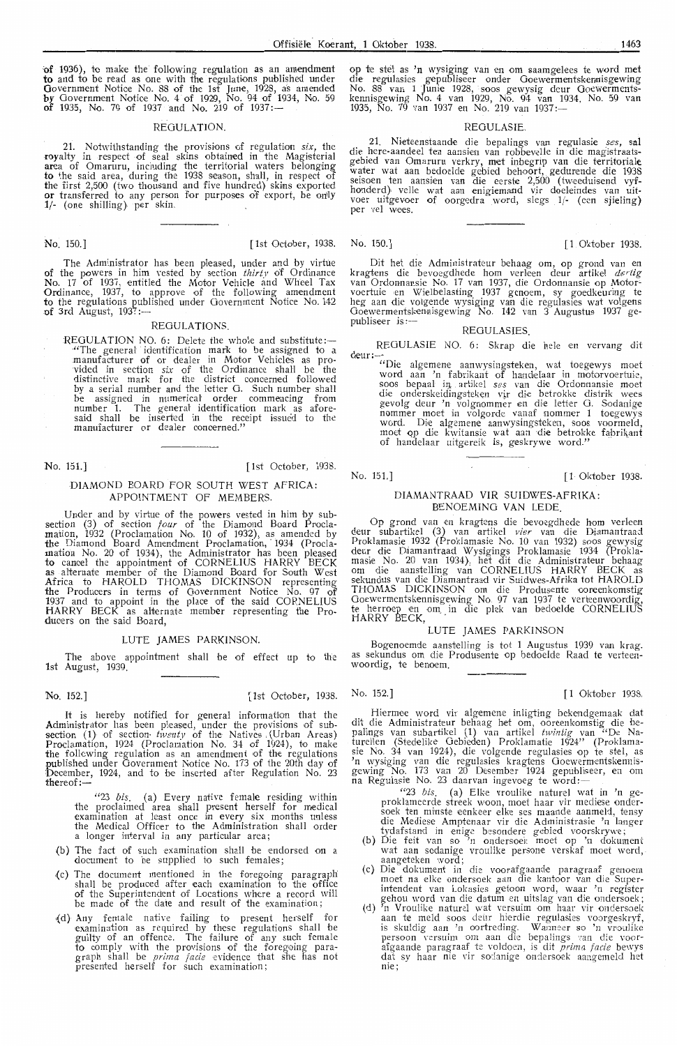**of** 1936), to make the following regulation as an amendment to and to be read as one with the regulations published under Government Notice No. 88 of the 1st June, 1928, as amended by Government Notice No. 4 of 1929, No. 94 of 1934, No. 59 of 1935, No. 79 of 1937 and No. 219 of 1937:—

#### REGULATION.

21. Notwithstanding the provisions of regulation *six*, the royalty in respect of seal skins obtained in the Magisterial area of Omaruru, including the territorial waters belonging to the said area, during the 1938 season, shall, in respect of the first 2,500 (two thousand and five hundred) skins exported or transferred to any person for purposes of export, be only 1/- (one shilling) per skin.

No. 150.] [1st October, 1938. No. 150.] [ 1 Oktober 1938.

The Administrator has been pleased, under and by virtue of the powers in him vested by section thirty of Ordinance No. 17 of 1937, entitled the Motor Vehicle and Wheel Tax Ordinance, 1937, to approve of the following amendment<br>to the regulations published under Government Notice No. 142 of 3rd August,  $1937:$ --

#### REGULATIONS.

REGULATION NO. 6: Delete the whole and substitute:-·"The general identification mark to be assigned to a manufacturer of or dealer in Motor Vehicles as provided in section *six* of the Ordinance shall be the distinctive mark for the district concerned followed<br>by a serial number and the letter G. Such number shall be assigned in numericat order commencing from number 1. The general identification mark as aforesaid shall be inserted in the receipt issued to the manufacturer or dealer concerned."

No. 151.] [ 1st October, 1938.

#### DIAMOND BOARD FOR SOUTH WEST AFRICA: APPOINTMENT OF MEMBERS.

Under and by virtue of the powers vested in him by subsection (3) of section *four* of the Diamond Board Proclamation, 1932 (Proclamation No. 10 of 1932), as amended by the Diamond Board Amendment Proclamation, 1934 (Proclamation No. 20 of 1934), the Administrator has been pleased to cancel the appointment of CORNELIUS HARRY BECK as alternate member of the Diamond Board for South West Africa *to* HAROLD THOMAS DICKINSON representing the Producers in terms of Government Notice No. 97 of 1937 and *to* appoint in the place of the said CORNELIUS HARRY BECK as alternate member representing the Produoers on the said Board,

#### LUTE JAMES PARKINSON.

The above appointment shall be of effect up to the 1st August, 1939.

No. 152.] [1 Oktober, 1938. No. 152.] [1 Oktober 1938.

It is hereby notified for general information that the Administrator has been pleased, under the provisions of subsection (1) of section- twenty of the Natives (Urban Areas) Proclamation, 1924 (Proclamation No. 34 of 1924), to make<br>the following regulation as an amendment of the regulations published under Government Notice No. 173 of the 20th day of December, 1924, and to he inserted after Regulation No. 23  $thereof:$ 

"23 *bis.* (a) Every native female residing within the proclaimed area shall present herself for medical examination at least once in every six months unless the Medical Officer to the Administration shall order<br>a longer interval in any particular area;

- (b) The fact of such examination shall be endorsed on a document to be supplied to such females;
- {c) The document men tioned in the foregoing paragraph shall be produced after each examination to the office of the Superintendent of Locations where a record will be made of the date and result of the examination ;
- ,(d) Any female native failing *to* present herself for examination as required by these regulations shall be guilty of an offence. The failure of any such female *to* comply with the provisions of the foregoing paragraph shall be *prima facie* evidence that she has not presented herself for such examination;

op te stel as 'n wysiging van en om saamgelees te word met die regulasies gepubliseer onder Goewermentskennisgewing No. 88 van 1 Junie 1928, soos gewysig deur Goewermentskennisgewing No. 4 van 1929, No. 94 van 1934, No. 59 van<br>1935, No. 79 van 1937 en No. 219 van 1937:--

#### REGULASIE.

. 21. Nieteenstaande die bepalings van regulasie *ses*, sal die here-aandeel ten aansien van robbevelle in die magistraatsgebied van Omaruru verkry, met inbegrip van die territoriale water wat aan bedoelde gebied behoort, gedurende die 1938<br>seisoen ten aansien van die eerste 2,500 (tweeduisend vyfhonderd) velle wat aan enigiemand vir doeleindes van uit-<br>voer uitgevoer of oorgedra word, slegs 1/- (een sjieling) per vel wees.

Dit het die Administrateur behaag om, op grond van en<br>kragtens die bevoegdhede hom verleen deur artikel *dertig* van Ordonnansie No. 17 van 1937, die Ordonnansie op Motorvoertuie en Wielbelasting 1937 genoem, sy goedkeuring te heg aan die volgende wysiging van die regulasies wat volgens Ooewe rmentskennisg,ewing No. 142 van 3 Augustus 1937 gepubliseer is:-

#### REOULASIES.

REGULASIE NO. 6: Skrap die hele en vervang dit deur:

"Die algemene aanwysingsteken, wat toegewys moet word aan 'n fabrikant of handelaar in motorvoertuie,<br>soos bepaal in artikel *ses* van die Ordonnansie moet die onderskeidingsteken vir die betrokke distrik wees gevolg deur 'n volgnommer en die letter G. Sodanige<br>nommer moet in volgorde vanaf nommer 1 toegewys word. Die algemene aanwysingsteken, soos voormeld, moet op die kwitansie wat aan die betrokke fabrikant of handelaar uitgereik is, geskrywe word."

No. 151.] [1 Oktober 1938.

#### DIAMANTRAAD VIR SUIDWES-AFRIKA: BENOEM!NO VAN LEDE.

Op grond van en kragtens die bevoegdhede hom verleen deur subartikel (3) van artikel *vier* van die Diamantraad Proklamasie 1932 (Proklamasie No. 10 van 1932) soos gewysig deur die D1amantraad Wys1gmgs Proklamasie 1934 (Proklamasie No. 20 van 1934), het dit die Administrateur behaag<br>om die aanstelling van CORNELIUS HARRY BECK as<br>sekundus van die Diamantraad vir Suidwes-Afrika tot HAROLD THOMAS DICKINSON om die Produsente ooreenkomstig<br>Goewermentskennisgewing No. 97 van 1937 te verteenwoordig, te herroep en om in die plek van bedoelde CORNELIUS<br>HARRY BECK,

#### LUTE JAMES PARKINSON

Bogenoemde aanstelling is tot 1 Augustus 1939 van krag.<br>as sekundus om die Produsente op bedoelde Raad te verteenwoordig, te benoem.

Hiermee word vir algemene inligting bekendgemaak dat dit die Administrateur behaag het om, ooreenkomstig die bepalings van subartikel (1) van artikel *twintig* van <sup>74</sup>De Na-<br>turellen (Stedelike Gebieden) Proklamatie 1924'' (Proklamasie No. 34 van 1924), die volgende regulasies op te stel, as<br>'n wysiging van die regulasies kragtens Goewermentskennisgewing No. 173 van 20 Desember 1924 gepubliseer, en om<br>na Regulasie No. 23 daarvan ingevoeg te word:--

- "23 *bis.* (a) Elke vroulike nature! wat in 'n geproklameerde streek woon, moet haar vir mediese ondersoek ten minste eenkeer elke ses maande aanmeld, tensy die Mediese Amptenaar vir die Administrasie 'n langer tydafstand in enige besondere gebied voorskrywe;
- (b) Die feit van so 'n ondersoek moet op 'n dokument wat aan sodanige vroulike persone verskaf moet word, -<br>aangeteken word;
- (c) Di**e** dokument in die voorafgaande paragraaf genoem moet na elke ondersoek aan die kantoor van die Superintendent van Lokasies getoon word, waar 'n register gehou word van die datum en uitslag van die ondersoek;
- (d) <sup>y</sup>n Vroulike naturel wat versuim om haar vir ondersoek aan te meld soos deir hierdie regulasies voorgeskryf, is skuldig aan 'n oortreding. Wanneer so 'n vroulike persoon versuim om aan die bepalings van die voor-<br>afgaande paragraaf te voldoen, is dit *prima facie* bewys dat sy haar nie vir sodanige ondersoek aangemeld het nie;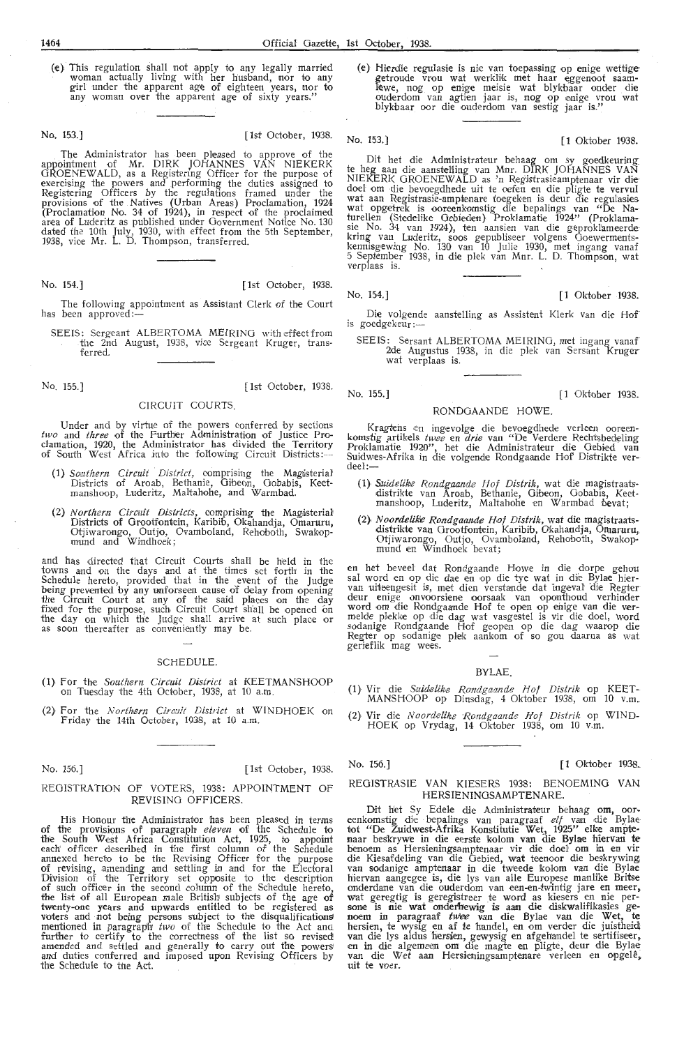(e) This regulation shall not apply to any legally married woman actually living with her husband, nor to any girl under the apparent age of eighteen years, nor to any woman over the apparent age of sixty years."

#### No. 153.] [ 1st October, 1938.

The Administrator has been pleased to approve of the appointment of Mr. DIRK JOHANNES VAN NIEKERK GROENEWALD, as a Registering Officer for the purpose of exercising the powers and performing the duties assigned to Registering Officers by the regulations framed under the provisions of the Natives (Urban Areas) Proclamation, 1924 (Proclamation No. 34 of 1924), in respect of the proclaimed area of Luderitz as published under Government Notice No. 130 dated the 10th July, 1930, with effect from the 5th September, 1938, vice **Mr.** L. D. Thompson, transferred.

No. 154.] [ 1st October, 1938.

The following appointment as Assistant Clerk of the Court has been approved:

SEEIS: Sergeant ALBERTOMA MEIRING with effect from the 2nd August, 1938, vice Sergeant Kruger, trans-

No. 155.] [ 1st October, 1938.

#### CIRCUIT COURTS.

Under and by virtue of the powers conferred by sections *two* and *three* of the Further Administration of Justice Proclamation, 1920, the Administrator has divided the Territory of South West Africa into the following Circuit Districts:-

- (1) Southern Circuit District, comprising the Magisterial Districts of Aroab, Bethanie, Gibeon, Gobabis, Keetmanshoop, Luderitz, Maltahohe, and Warmbad.
- (2) *Northern Circuit Districts*, comprising the Magisterial Districts of Grootfontein, Karibib, Okahandja, Omaruru, Otjiwarongo, Outjo, Ovamboland, Rehoboth, Swakopmund and Windhoek;

and has directed that Circuit Courts shall be held in the towns and on the days and at the times set forth in the Schedule hereto, provided that in the event of the Judge being prevented by any unforseen cause of delay from opening the Circuit Court at any of the said places on the day fixed for the purpose, such Circuit Court sh'all be opened on the day on which the Judge shall arrive at such place or as soon thereafter as conveniently may be.

#### SCHEDULE.

- (1) For the *Southern Circuit District* at KEETMANSHOOP on Tuesday the 4th October, 1938, at 10 a.m.
- (2) For the *Northern Circait District* at WINDHOEK on F riday the 14th October, 1938, at 10 **a.m.**

No. 156.] [1st October, 1938.

#### REGISTRATION OF VOTERS, 1938: APPOINTMENT OF REVISING OFFICERS.

His Honour the Administrator has been pleased in terms of the provisions of paragraph *eleven* of the Schedule to the South West Africa Constitution Act, 1925, to appoint each' officer described in the first column of the Schedule annexed hereto to be the Revising Officer for the purpose of revising, amending and settling in and for the Electoral Division of thie Territory set opposite to the description of such officer in the second column of the Schedule hereto, the list of all European male British subjects of the age of twenty-one years and upwards entitled to be registered as voters and not being persons subject to the disqualifications mentioned in paragraph *two* of the Schedule to the Act and further to certify to the correctness of the list so revised amended and settled and generally to carry out fhre powers and duties conferred and imposed upon Revising Officers by the Schedule to the Act.

(e) Hierdie regulasie is nie van toepassing op enige wettige-getroude vrou wat werklik met haar eggenoot saam-<br>lewe, nog op enige meisie wat blykbaar onder die ouderdom van agtien jaar is, nog op enige vrou wat blykbaar oor die ouderdom van sestig jaar is.''

No. 153.] [ **1** Oktober 1938.

Dit het die Administrateur behaag om sy goedkeuring: te heg aan dire aanstel'ling van Mm. DIRK JOHANNES VAN NIEKERK GROENEWALD as 'n Registrasieamptenaar vir die<br>doel om die bevoegdhede uit te oefen en die pligte te vervul wat aan Registrasie-amptenare toegeken is deur die regulasies wat opgetrek is ooreenkomstig die bepalings van "De Naturellen (Stede1ike Gebieden} Proklamatie 1924" (Proklama- sie No. 34 van 1924), ten aansien van die geproklameerde kring van Luderitz, soos gepubliseer volgens Ooewermentskennisgewing No. 130 van 10 Julie 1930, met ingang vanaf 5 September 1938, in die plek van Mnr. L. D. Thompson, wat<br>verplaas is.

No. 154.] [ 1 Oktober 1938.

- Die volgende aanstelling as Assistent Klerk van die Hof is goedgekeur :-
	- SEEIS: Sersant ALBERTOMA MEIRING, met ingang vanaf 2de Augustus 1938, in die plek van Sersant Kruger wat ve rplaas is.

No. 155.] [ 1 Oktober 1938.

#### RONDOAANDE HOWE.

Kragtens en ingevolge die bevoegdhede verleen ooreen-<br>komstig artikels *twee* en *drie* van "De Verdere Rechtsbedeling Proklamatie 1920'', het die Administrateur die Gebied van<br>Suidwes-Afrika in die volgende Rondgaande Hof Distrikte ver-<br>deel:---

- (1) *Suidelike Rondgaande Hof Distrik,* wat die magistraatsdistrikte van Aroab, Bethanie, Gibeon, Gobabis, Keetmanshoop, Luderitz, Maltahohe en Warmbad bevat;
- (2), *Noordelike Rondgaande Hof Distrik*, wat die magistraatsdistrikte van Grootfontein, Karibib, Okahandja, Omaruru,. Otjiwarongo, Outjo, Ovamboland, Rehoboth, Swakopmund en Windhoek bevat;

en het beveel dat Rondgaande Howe in die dorpe gehou<br>sal word en op die dae en op die tye wat in die Bylae hier-<br>van uiteengesit is, met dien verstande dat ingeval die Regter deur enige onvoorsiene oorsaak van oponthoud verhinder<br>word om die Rondgaande Hof te open op enige van die ver-<br>melde plekke op die dag wat vasgestel is vir die doel, word sodanige Rondgaande Hof geopen op die dag waarop die Regter op sodanige plek aankom of so gou daarna as wat gerieflik mag wees.

#### BYLAE.

- (1} Vir die *Suidelik,e Rondgaande Hof Distrik* op KEET-MANSHOOP op Dinsdag, 4 Oktober 1938, om 10 v.m.
- (2) Vir die *Noorcbelik,e R ondgaande Hof Distrik* op WIND-HOEK op Vrydag, 14 Oktober 1938, om 10 v.m.

No. 156.] [1 Oktober 1938.

#### REGISTRASIE VAN KIESERS 1938: BENOEMING VAN HERSIENINGSAMPTENARE.

Dit het Sy Edele die Administrateur behaag om, oor-<br>eenkomstig die bepalings van paragraaf etf van die Bylae tot "De Zuidwest-Afrika Konstitutie Wet, 1925" elke ampte-<br>naar beskrywe in die eerste kolom van die Bylae hiervan te benoem as Hersieningsamptenaar vir die doel om in en vir die Kiesafdeling van die Oebied, Wat teenoor die beskrywing van sodanige amptenaar in die twteede kolom *van* die Bylae hiervan aangegee is, die lys van alle Europese manlike Britse onderdane van die ouderdom van een-en-twintig jare en meer, wat geregtig is geregistreer te word as kiesers en nie per-<br>sone is nie wat onderhewig is aan die diskwalifikasies ge-<br>noem in paragraaf *twee* van die Bylae van die Wet, te hersien, te wysig en af te handel, en om verder die juistheid; van die lys aldus hersien, gewysig en afgeh'andel te sertifiseer, en in die algemeen om' die magte en pligte, deur die Bylae van die Wet aan Hersieningsamptenare verleen en opgele, uit te voer.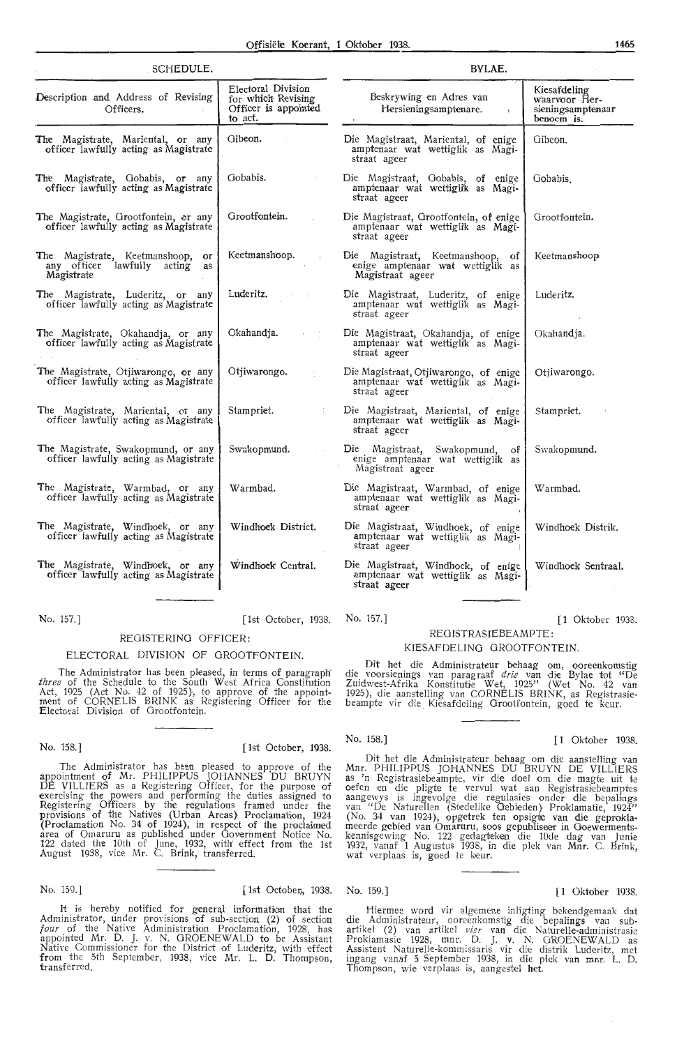| SCHEDULE.                                                                           |                                                                             | BYLAE.                                                                                     |                                                                  |  |  |
|-------------------------------------------------------------------------------------|-----------------------------------------------------------------------------|--------------------------------------------------------------------------------------------|------------------------------------------------------------------|--|--|
| Description and Address of Revising<br>Officers.                                    | Electoral Division<br>for which Revising<br>Officer is appointed<br>to act. | Beskrywing en Adres van<br>Hersieningsamptenare.<br>$\mathbf{r}$                           | Kiesafdeling<br>waarvoor Her-<br>sieningsamptenaar<br>benoem is. |  |  |
| The Magistrate, Mariental, or any<br>officer lawfully acting as Magistrate          | Gibeon.                                                                     | Die Magistraat, Mariental, of enige<br>amptenaar wat wettiglik as Magi-<br>straat ageer    | Gibeon.                                                          |  |  |
| The Magistrate, Gobabis, or any<br>officer lawfully acting as Magistrate            | Gobabis.                                                                    | Die Magistraat, Gobabis, of enige<br>amptenaar wat wettiglik as Magi-<br>straat ageer      | Gobabis.                                                         |  |  |
| The Magistrate, Grootfontein, or any<br>officer lawfully acting as Magistrate       | Grootfontein.                                                               | Die Magistraat, Grootfontein, of enige<br>amptenaar wat wettiglik as Magi-<br>straat ageer | Grootfontein.                                                    |  |  |
| The Magistrate, Keetmanshoop, or<br>any officer lawfully acting<br>as<br>Magistrate | Keetmanshoop.                                                               | Die Magistraat, Keetmanshoop, of<br>enige amptenaar wat wettiglik as<br>Magistraat ageer   | Keetmanshoop                                                     |  |  |
| The Magistrate, Luderitz, or any<br>officer lawfully acting as Magistrate           | Luderitz.                                                                   | Die Magistraat, Luderitz, of enige<br>amptenaar wat wettiglik as Magi-<br>straat ageer     | Luderitz.                                                        |  |  |
| The Magistrate, Okahandja, or any<br>officer lawfully acting as Magistrate          | Okahandja.                                                                  | Die Magistraat, Okahandja, of enige<br>amptenaar wat wettiglik as Magi-<br>straat ageer    | Okahandja.                                                       |  |  |
| The Magistrate, Otjiwarongo, or any<br>officer lawfully acting as Magistrate        | Otjiwarongo.                                                                | Die Magistraat, Otjiwarongo, of enige<br>amptenaar wat wettiglik as Magi-<br>straat ageer  | Otiiwarongo.                                                     |  |  |
| The Magistrate, Mariental, or any<br>officer lawfully acting as Magistrate          | Stampriet.                                                                  | Die Magistraat, Mariental, of enige<br>amptenaar wat wettiglik as Magi-<br>straat ageer    | Stampriet.                                                       |  |  |
| The Magistrate, Swakopmund, or any<br>officer lawfully acting as Magistrate         | Swakopmund.                                                                 | Die Magistraat, Swakopmund,<br>of<br>enige amptenaar wat wettiglik as<br>Magistraat ageer  | Swakopmund.                                                      |  |  |
| The Magistrate, Warmbad, or any<br>officer lawfully acting as Magistrate            | Warmbad.                                                                    | Die Magistraat, Warmbad, of enige<br>amptenaar wat wettiglik as Magi-<br>straat ageer      | Warmbad.                                                         |  |  |
| The Magistrate, Windhoek, or any<br>officer lawfully acting as Magistrate           | Windhock District.                                                          | Die Magistraat, Windhoek, of enige<br>amptenaar wat wettiglik as Magi-<br>straat ageer     | Windhoek Distrik.                                                |  |  |
| The Magistrate, Windhoek, or any<br>officer lawfully acting as Magistrate           | Windhoek Central.                                                           | Die Magistraat, Windhoek, of enige<br>amptenaar wat wettiglik as Magi-<br>straat ageer     | Windhoek Sentraal.                                               |  |  |
|                                                                                     |                                                                             |                                                                                            |                                                                  |  |  |

No. 157.] [1st October, 1938. No. 157.] [ 1 Oktober 1938.

## ELECTORAL DIVISION OF OROOTFONTEIN.

REOISTERINO OFFICER:

The Administrator has been pleased, in terms of paragraph three of the Schedule to the South West Africa Constitution Act, 1925 (Act No. 42 of 1925), to approve of the appointment of CORNELIS BRINK as Registering Offioer for the Electoral Division of Orootfontein.

No. 158.] [ 1st October, 1938.

The Administrator has been pleased *to* approve of the appointment of Mr. PHILIPPUS JOHANNES DU BRUYN DE VILLIERS as a Registering Officer, for the purpose of exercising the powers and performing the duties assigned *to*  Registering Officers by the regulations framed under the provisions of the Natives (Urban Areas) Proclamation, 1924 (Proclamation No. 34 of 1924}, in respect of the proclaimed area of Omaruru as published under Government Notice No. 122 dated the 10th of June, 1932, with' effect from the 1st August 1938, vice Mr. C. Brink, transferred.

#### No. 159.] [1st October, 1938. No. 159.] [ 1st Oktober 1938. [ 1 Oktober 1938

It is hereby notified for general information that the Administrator, under provisions of sub-section (2) of section four of the Native Administration Proclamation, 1928, has Administrator, under provisions of sub-section (2) of section *four* of the Native Administration Proclamation, 1928, has appointed Mr. D. J. v. N. GROENEWALD to be Assistant Native Commissioner for the District of Luderitz, with effect from the 5th September, 1938, vice Mr. L. D. Thompson, transferred.

#### REOISTRASIEBEAMPTE: KIESAFDELING GROOTFONTEIN

Dit het die Administrateur behaag om, ooreenkomstig die voorsienings van paragraaf drie van die Bylae tot "De Zuidwest-Afrika Konstitutie Wet, 1925" (Wet No. 42 van 1925), die aanstelling van CORNELIS BRINK, as Registrasiebeampte vir die Kiesafdeling Grootfontein, goed te keur.

#### No. 158.] [1 Oktober 1938.

Dit het die Administrateur behaag om die aanstelling van Mnr. PHILIPPUS JOHANNES DU BRUYN DE VILLIERS as 'n Registrasiebeampte, vir die doel om die magte uit te oefen en die pligte te vervul wat aan Registrasiebeamptes aangewys is ingevolge die regulasies onder die bepalings van "De Naturellen (Stedelike Gebieden) Proklamatie, 1924" (No. 34 van 1924), opgetrek ten opsigte van die geprokla-<br>meerde gebied van Omaruru, soos gepubliseer in Ooewermentskennisgewing No. 122 gedagteken die 10de dag van Junie<br>1932, vanaf 1 Augustus 1938, in die plek van Mnr. C. Brink, wat verplaas is, goed te keur.

Hiermee word vir algemene inligting bekendgemaak dat die Administrateur, ooreenkomstig die bepalings van sub-<br>artikel (2) van artikel vier van die Naturelle-administrasie<br>Proklamasie 1928, mnr. D. J. v. N. GROENEWALD as<br>Assistent Naturelle-kommissaris vir die distrik Luderit ingang vanaf 5 September 1938, in die plek van mnr. L. D. Thompson, wie verplaas is, aangestel het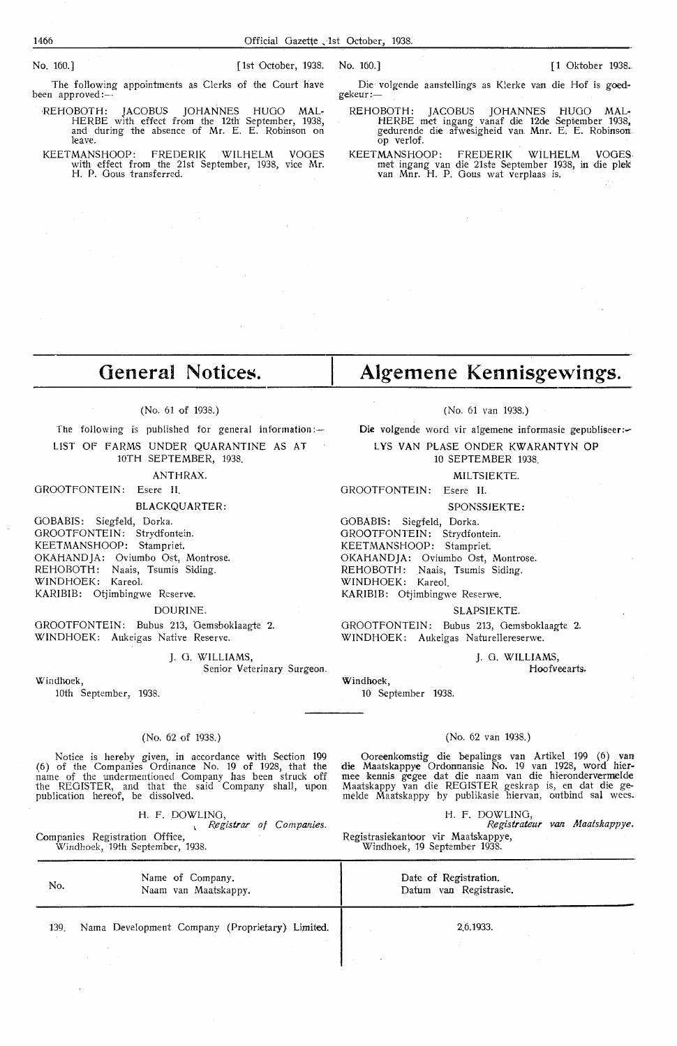The folfowing appointments as Clerks of the Court have been approved:-

REHOBOTH: JACOBUS JOHANNES HUGO MAL-HERBE with effect from the 12th September, 1938, and during the absence of Mr. E. E. Robinson on leave.

KEET MANS HOOP: FREDERIK WILHELM VOGES with effect from the 21st September, 1938, vice Mr. H. P. Gous transferred.

Die volgende aanstellings as Klerke van die Hof is goedgekeur :-

#### REHOBOTH: JACOBUS JOHANNES HUGO MAL-HERBE met ingang vanaf die 12de September 1938, gedurende die afweslgheid van. Mnr. E. E. Robinson op verlof.

KEETMANSHOOP: FREDERIK WILHELM VOGES. met ingang van die 21ste September 1938, **in** die plek van Mnr. H. P. Oous wat verplaas is.

# **General Notices.**

The following is published for general information: $-$ LIST OF FARMS UNDER QUARANTINE AS AT

ANTHRAX.

GROOTFONTEIN: Esere II.

GOBABIS: Siegfeld, Dorka. GROOTFONTEIN: Strydfontein. KEETMANSHOOP: Stampriet. OKAHANDJA: Oviumbo Ost, Montrose. REHOBOTH: Naais, Tsumis Siding. WINDHOEK: Kareol. KARIBIB: Otjimbingwe Reserve.

DOURINE.

OROOTFONTEIN: Bubus 213, Demsboklaagte 2. WINDHOEK: Aukeigas Native Reserve.

J. 0. WILLIAMS,

Senior Veterinary Surgeon.

Windhoek,

loth September, 1938.

#### (No. 62 of 1938.)

Notice is hereby given, in accordance with Section 199 (6) of the Companies Ordinance No. 19 of 1928, that the name of the undermentioned Company has been struck off the REGISTER, and that the said Company shall, upon publication hereof, be dissolved.

H. F. DOWLING,

<sup>1</sup>*Registrar of Companies.* 

Companies Registration Office, Windhoek, 19th September, 1938. **Algemene Kennisgewings.** 

(No. 61 van 1938.)

Die volgende word vir algemene informasie gepubliseer:

L YS VAN PLASE ON DER KW ARANTYN **OP**  10 SEPTEMBER 1938.

MILTSIEKTE.

GROOTFONTEIN: Esere II.

SPONSSIEKTE:

OOBABIS: Siegfeld, Dorka. OROOTFONTEIN: Strydfontein. KEETMANSHOOP: Stampriet. OKAHANDJA: Oviumbo Ost, Montrose. REHOBOTH: Naais, Tsumis Siding. WINDHOEK: Kareol. KARIBIB: Otjimbingwe Reserwe.

#### SLAPSIEKTE.

OROOTFONTEIN: Bubus 213, Oemsboklaagte 2. WINDHOEK: Aukeigas Naturellereserwe.

> J. 0. WILLIAMS, Hoofveearts.

#### (No. 62 van 1938.)

Ooreenkomstig die bepalings van Artikel 199 (6) van die Maatskappye Ordonnansic No. 19 van 1928, word hier- mee kennis gegee <lat die naam van die hierondervermielde Maatskappy van die REGISTER geskrap is, en dat die gemelde Maatskappy by publikasie hiervan, ontbind sal wees.

H. F. DOWLING, *Registrateur van Maatskappye.*  Registrasiekantoor vir Maatskappye, Windhoek, 19 September 1938.

No. 139. Name of Company. Naam van Maatskappy. Nama Development Company (Proprietary) Limited. Date of Registration. Datum van Registrasie. 2.6.1933.

(No. 61 of 1938.)

10TH SEPTEMBER, 1938.

BLACKQUARTER:

Windhoek, 10 September 1938.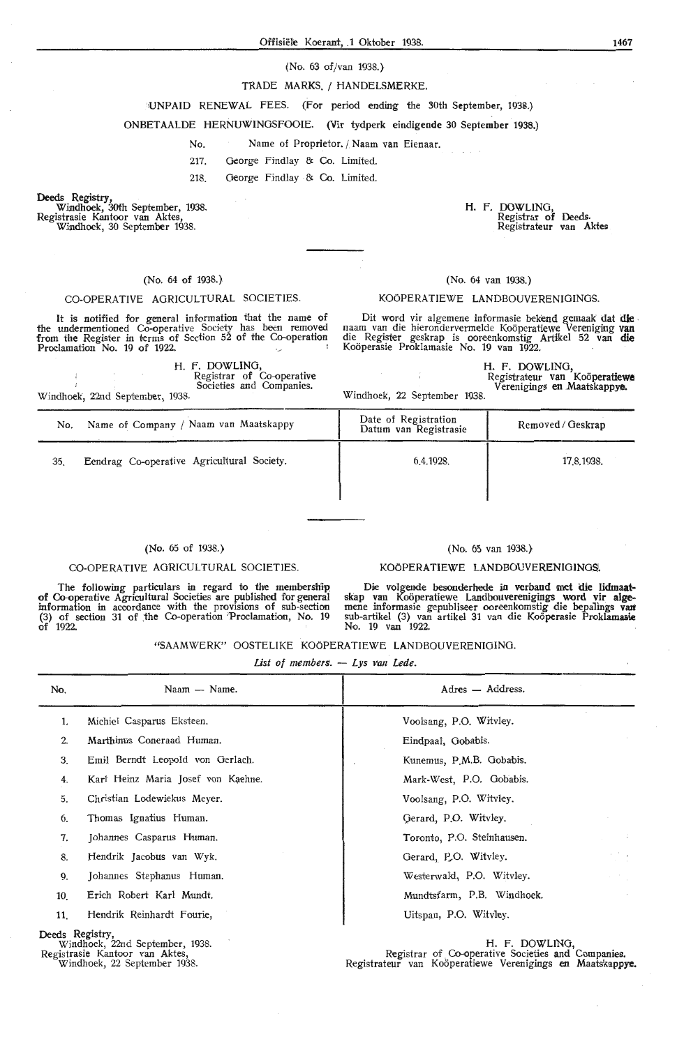#### (No. 63 of/van 1938.}

#### TRADE MARKS. / HANDELSMERKE.

·,UNPAID RENEWAL FEES. (For period ending the 30th September, 1938.)

ONBETAALDE HERNUWINGSFOOIE. **(Vir** tydperk eindigende 30 September 1938.)

No. Name of Proprietor. / **Naam** van Eienaar.

217. George Findlay & Co. Limited.

218. George Findlay & Co. Limited.

Deeds Registry, Windhoek, 30th September, 1938. Registrasie Kantoor van Aktes,

Windhoek, 30 September 1938.

#### (No. 64 of 1938.}

## CO-OPERATIVE AGRICULTURAL SOCIETIES.

It is notified for general information that the name of the undermentioned Co-operative Society has been removed from the Register in terms of Section 52 of the Co-operation Proclamation No. 19 of 1922.

H. F. DOWLING, Windhoek, 22nd September, 1938. Registrar of Co-operative Societies and Companies.

H. F. DOWLING, Registrar of Deeds. Registrateur **van Aktes;** 

#### (No. 64 van 1938.)

#### KOÖPERATIEWE LANDBOUVERENIGINGS

Dit word vir algemene informasie bekend gemaak **dat die** . naam van die hierondervermelde Kooperatiewe Vereniging van die Register geskrap is ooreenkomstig Artikel 52 van die Koöperasie Proklamasie No. 19 van 1922.

Windhoek, 22 September 1938. **H. F. DOWLING,**  Registrateur **van Kooperatiewe** Verenigiings **en .Maatskappye.** 

| No. | Name of Company / Naam van Maatskappy      | Date of Registration<br>Datum van Registrasie | Removed / Geskrap |
|-----|--------------------------------------------|-----------------------------------------------|-------------------|
| 35. | Eendrag Co-operative Agricultural Society. | 6.4.1928.                                     | 17.8.1938.        |
|     |                                            |                                               |                   |

#### (No. 65 of 1938.)

## (No. 65 van 1938.) KOÖPERATIEWE LANDBOUVERENIGINGS

#### CO-OPERATIVE AGRICULTURAL SOCIETIES.

The following particulars in regard to the membership of Co-operative Agricultural Societies are published for general information in acoordance with the provisions of sub-section (3) of section 31 of the Co-operation 'Proclamation, No. 19 of 1922.

Die volgende besonderhede in verband met die lidmaatskap van Koöperatiewe Landbouverenigings word vir alge-<br>mene informasie gepubliseer ooreenkomstig die bepalings van sub-artikel (3) van artikel 31 van die Kooperasie Proklamasie No. 19 van 1922.

"SAAMWERK" OOSTELIKE KOOPERATIEWE LANDBOUVERENIOINO.

*List of members.* - *Lys van Lede* 

| No.             | Naam - Name.                       | Adres - Address.           |                 |
|-----------------|------------------------------------|----------------------------|-----------------|
| 1.              | Michiel Casparus Eksteen.          | Voolsang, P.O. Witvley.    |                 |
| 2.              | Marthinus Coneraad Human.          | Eindpaal, Gobabis.         |                 |
| 3.              | Emil Berndt Leopold von Gerlach.   | Kunemus, P.M.B. Gobabis.   |                 |
| 4.              | Karl Heinz Maria Josef von Kaehne. | Mark-West, P.O. Gobabis.   |                 |
| 5.              | Christian Lodewiekus Meyer.        | Voolsang, P.O. Witvley.    |                 |
| 6.              | Thomas Ignatius Human.             | Gerard, P.O. Witvley.      |                 |
| 7.              | Johannes Casparus Human.           | Toronto, P.O. Steinhausen. | $\sim$          |
| 8.              | Hendrik Jacobus van Wyk.           | Gerard, P.O. Witvley.      | $\sim$ 10 $\pm$ |
| 9.              | Johannes Stephanus Human.          | Westerwald, P.O. Witvley.  |                 |
| 10.             | Erich Robert Karl Mundt.           | Mundtsfarm, P.B. Windhoek. |                 |
| 11.             | Hendrik Reinhardt Fourie,          | Uitspan, P.O. Wityley.     |                 |
| Deeds Registry, | Windhoek, 22nd September, 1938.    | H. F. DOWLING,             |                 |

Registrasie Kantoor van Aktes, Windhoek, 22 September 1938.

Registrar of Co-operative Societies and Companies. Registrateur van Koöperatiewe Verenigings en Maatskappye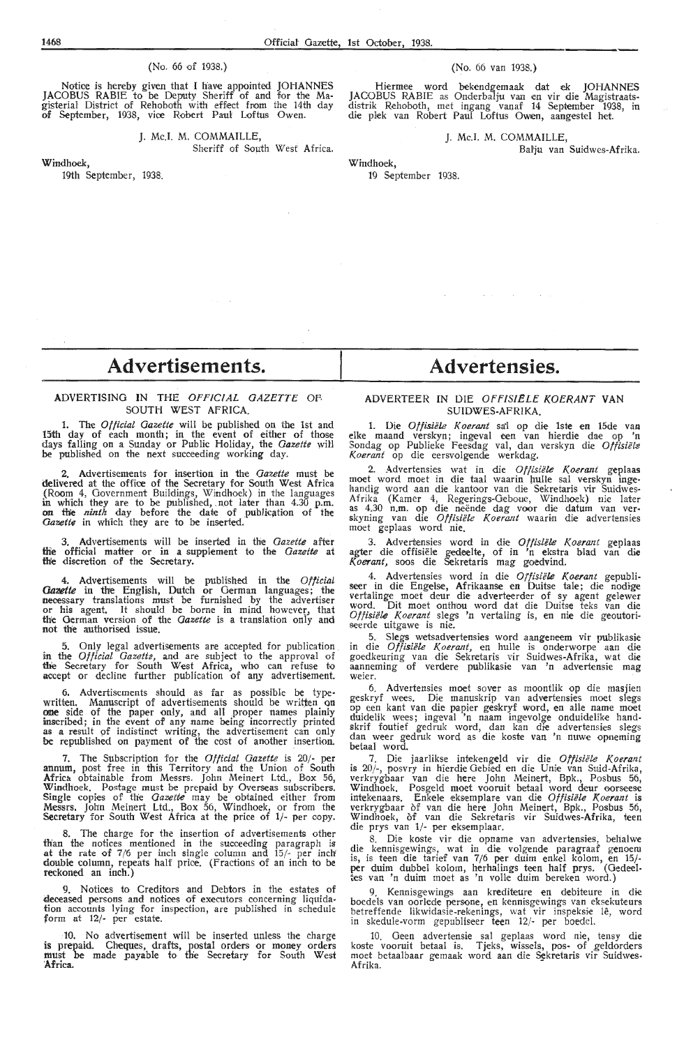#### (No. 66 of 1938.)

Notice is hereby given that I have appointed JOHANNES JACOBUS RABIE to be Deputy Sheriff of and for the Magisteriat District of Rehoboth with effect from the 14th day **of** September, 1938, vioe Robert Paul Loftus Owen.

> **J.** Mc.I. M. COMMAILLE, Sheriff of South West Africa.

Windhoek,

19th September, 1938.

#### (No. 66 van 1938.)

Hiermee word bekendgemaak dat ek JOHANNES JACOBUS RABIE as Onderbalju van en vir die Magistraatsdistrik Rehoboth, met ingang vanaf 14 September 1938, in die plek van Robert Paul Loftus Owen, aangestel het.

J. Mc.I. M. COMMAILLE,

Batju van Suidwes-Afrika.

19 September 1938.

Windhoek,

# **Advertisements.**

#### ADVERTISING IN THE OFFICIAL GAZETTE OP. SOUTH WEST AFRICA.

The *Official Gazette* will be published on the 1st and 15th day of each month; in the event of either of those days falling on a Sunday or Public Holiday, the *Gazette* will be published on the next succeeding working day.

2. Advertisements for insertion in the *Gazeite* must be delivered at the office of the Secretary for South West Africa (Room 4, Government Buildings, Windhoek} in the languages in which they are to be published, not later than 4.30 p.m.<br>on the *ninth* day before the date of publication of the Gazette in which they are to be inserted.

3. Advertisements will be inserted in the *Gazette* after **tlie** official matter or in a supplement to th•e *Gazette* at **th'e** discretion of the Secretary.

4. Advertisements will be published in the *Official Gazette* in the English, Dutch or German languages; the necessary translations must be furnished by the advertiser<br>or his agent. It should be borne in mind however, that the Oerman version of the *Gazette* is a translation only and not the authorised issue.

5. Only legal advertisements are accepted for publication in. the *Official Gazetl2,* and are subject to the approval of the Secretary for South West Africa, who can refuse to accept or decline further publication of any advertisement.

6. Advertisements should as far as possible be typewritten. Manuscript of advertisements should be wrlijen on **one** side of the paper only, and all proper names plainly inscribed; in the event of any name being incorrectly printed as a result of indistinct writing, the advertisement can only as a result of indistinct writing, the advertisement can only be republished on payment of the cost of another insertion.

7. The Subscription for the *Official Gazette* is 20/- per **annum,** post free in this Territory and the Union of South **Africa** obtainable from Messrs. John Meinert Ltd., Box 56, Windhoek. Postage must be prepaid by Overseas subscribers. **Single** copies of the *Gazette* may be obtained either from **Messrs.** Jol:rn Meinert Ltd., Box 56, Windhoek, or from the Secretary for South West Africa at the price of 1/- per copy.

The charge for the insertion of advertisements other than the notices mentioned in the succeeding paragraph is at the rate of 7 /6 per inch single column and 15/- per inch' double column, repeats half price. (Fractions of an inch to be reckoned an inch.)

Notices to Creditors and Debtors in the estates of deceased persons and notices of executors concerning liquidation accounts lying for inspection, are published in schedule form at 12/- per estate.

10. No advertisement will be inserted unless the charge is prepaid. Cheques, drafts, postal orders or money orders must be made payable to the Secretary for South West **'Africa.** 

# **Advertensies.**

 $\sim 10^{-1}$  km

 $\sim 10^{-1}$  .

#### ADVERTEER IN DIE OFFIS!ELE KOERANT **VAN**  SUIDWES-AFRIKA.

1. Die *Offisiele K oerant* sa:l op die lste en 15de van elke maand verskyn; ingeval een van hi-erdie dae op 'n Sondag op Publieke Feesdag val, dan verskyn die Offisiële *K,oerant* op die eersvolgende werkdag.

2. Advertensies wat in die Offisiële Koerant geplaas moet word moet in die taal waarin hulle sal verskyn ingehandig word aan die kantoor van die Sekretaris vir Suidwes-A frika (Kamer 4, Regerings-Geboue, Windhoek) nie later as 4.30 n.m. op die neende dag voor dte datum van ver- skyning van die *Offisiele Koerant* waarin di,e advertensies moet geplaas word nie.

3. Advertensies word in die *Offisiele Koerant* geplaas agter die offisiële gedeelte, of in 'n ekstra blad van die *K.oerant,* soos die Sekretaris mag goedvind.

4. Advertensies word in die Offisiële Koerant gepubliseer in die Engelse, Afrikaanse en Duitse tale; die nodige vertalinge moet deur die adverteerder of sy agent gelewer word. Dit moet onthou word dat die Duitse teks van die *Otfisiele Koerant* slegs 'n vertaling is, en nie die geoutoriseerde uitgawe is nie.

5. Slegs wetsadvertensies word aangeneem vir publikasie in die *Offisiele Koerant,* en hulle is onderworpe aan die goedkeuring van die Sekrefaris vir Suidwes-Afrika, wat die aanneming of verdere publikasie van 'n advertensie mag weier.

6. Advertensies moet sover as moontlik op die masjien geskryf wees. Die manuskrip van advertensies moet slegs op een kant van die papier geskryf word, en alle name moet duidelik wees; ingeval 'n naam ingevolge onduidelike handskrif foutief gedruk word, dan kan die advertensies slegs dan weer gedruk word as die koste van 'n nuwe opneming betaal word.

7. Die jaarlikse intekengeld vir die *Offisiele Koerant*  is 20/-, posvry in hierdie Gebied en die Unie van Suid-Afrika, verkrygbaar van die here John Meinert, Bpk., Posbus 56, Windhoek. Posgeld moet vooruit betaal word deur oorseese<br>intekenaars. Enkele eksemplare van die Offisiële Koerant is verkrygbaar of van die here John Meinert, Bpk., Posbus 56, Windhoek, of van die Sekretaris vir Suidwes-Afrika, teen die prys van 1/- per eksemplaar.

8. Die koste vir die opname van advertensies, behalwe die kennisgewings, wat in die volgende paragraaf genoem is, is teen die tarief van 7/6 per duim enkel kolom, en 15/-<br>per duim dubbel kolom, herhalings teen half prys. (Gedeeltes van 'n duim moet as 'n volle duim bereken word.)

9. Kennisgewings aan krediteure en debiteure in boedels van oorlede persone, en kennisgewings van eksekuteurs<br>betreffende likwidasie-rekenings, wat vir inspeksie lê, word in skedule-vorm gepubliseer teen 12/- per boedel.

10. Geen advertensie sal geplaas word nie, tensy die koste vooruit betaal is. Tjeks, wissels, pos- of geldorders moet betaalbaar gemaak word aan die Sekretaris vir Suidwes-Afrika.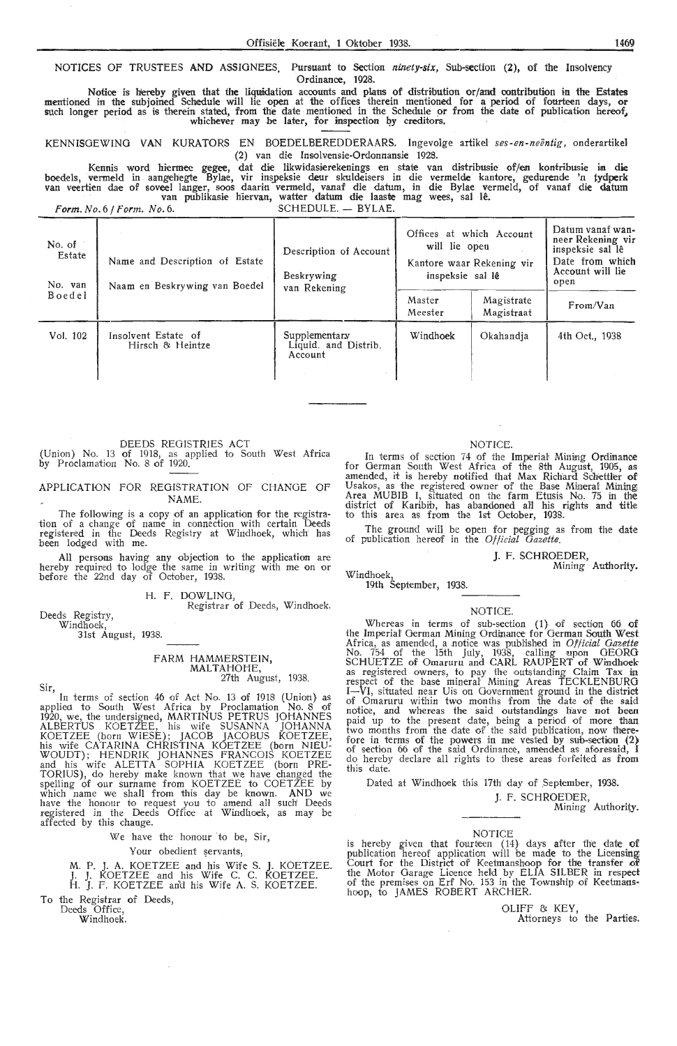NOTICES OF TRUSTEES AND ASSIGNEES. Pursuant to Section *ninety-six*, Sub-section (2), of the Insolvency Ordinance, 1928.

Notice is h'ereby given that the liquidation acoounts and plans of distdbution or/and contribution in the **Estates**  mentioned in the subjoined Schedule will lie open at the offices therein mentioned for a period of fourteen days, **or**  such longer period as is therein stated, from the date mentioned in the Schedule or from the date of publication hereof, whichever may be later, for inspection by creditors.

KENNISGEWING VAN KURATORS EN BOEDELBEREDDERAARS. Ingevolge artikel *ses-en-neentig,* onderartikel (2) van die Insolvensie-Ordonnansie 1928.

Kennis word hiermee gegee, dat die likwidasierekenings en state van distribusie of/en kontribusie in die boedels, vermeld in aangehegte Bylae, vir inspeksie deur skuldeisers in die vermelde kantore, gedurende 'n tydperk van veertien dae of soveel langer, soos daarin vermeld, vanaf die datum, in die Bylae vermeld, of vanaf die datum<br>van publikasie hiervan, watter datum die laaste mag wees, sal lê.

Form. No. 6 / Form. No. 6. SCHEDULE. - BYLAE.

| No. of<br>Estate<br>No. van | Name and Description of Estate<br>Naam en Beskrywing van Boedel | Description of Account<br>Beskrywing<br>van Rekening | Offices at which Account<br>will lie open<br>Kantore waar Rekening vir<br>inspeksie sal lê |                          | Datum vanaf wan-<br>neer Rekening vir<br>inspeksie sal lê<br>Date from which<br>Account will lie<br>open |
|-----------------------------|-----------------------------------------------------------------|------------------------------------------------------|--------------------------------------------------------------------------------------------|--------------------------|----------------------------------------------------------------------------------------------------------|
| Boedel                      |                                                                 |                                                      | Master<br>Meester                                                                          | Magistrate<br>Magistraat | From/Van                                                                                                 |
| Vol. 102                    | Insolvent Estate of<br>Hirsch & Heintze                         | Supplementary<br>Liquid. and Distrib.<br>Account     | Windhoek                                                                                   | Okahandia                | 4th Oct., 1938                                                                                           |

DEEDS REGISTRIES ACT<br>(Union) No. 13 **of** 1918, as applied to South West Africa by Proclamation No. 8 of 1920.

APPLICATION FOR REGISTRATION OF CHANGE OF NAME.

The following is a copy of an application for the registration of a change of name in connection with certain Deeds registered in the Deeds Registry at Windhoek, which' has been lodged with me.

All persons having any objection to the application are hereby required to lodge the same in writing with me on or before the 22nd day of October, 1938.

H. F. DOWLING, Registrar of Deeds, Windhoek.

Deeds Registry, Windhoek, 31st August, 1938.

Sir,

FARM HAMMERSTEIN, MALTAHOHE,<br>27th August, 1938.

27th August, 1938.

In terms of section 46 of Act No. 13 of 1918 (Union) as applied to South West Africa by Proclamation No. 8 of 1920, we, the undersigned, MARTINUS PETRUS JOHANNES ALBERTUS KOETZEE, his wife SUSANNA JOHANNA KOETZEE (born WIESE); JACOB JACOBUS KOETZEE, his wife CATARINA CHRISTINA KOETZEE (born NIEU-WOUDT); HENDRIK JOHANNES FRANCOIS KOETZEE and his wife ALETTA SOPHIA KOETZEE (born PRE-TORIUS), do hereby make known that we have changed the spelling of our surname from KOETZEE to COETZEE by which name we shall from this day be known. AND we have the honour to request you to amend all such' Deeds registered in the Deeds Office at Windhoek, as may be affected by this change.

We have the honour to be, Sir,

Your obedient servants,

M. P. J. A. KOETZEE and his Wife S. **J.** KOETZEE. J. J. KOETZEE and his Wife C. C. KOETZEE. H. J. F. KOETZEE aricl his Wife **A.** S. KOETZEE.

To the Registrar of Deeds,

Deeds Office, Windhoek.

#### NOTICE.

In terms of section 74 of the Imperial Mining Ordinance for German South West Africa of the 8th August, 1905, as amended, it is hereby notifred that Max Richard Schettl!er of Usakos, as the registered owner of the Base Mineral Mining; Area MUBIB I, situated on the farm Etusis No. 75 in the district of Karibib, has abandoned all his rights and title<br>to this area as from the 1st October, 1938.

The ground will be open for pegging as from the date of publication hereof in the *Official Gazette*.

#### J. F. SCHROEDER,

Windhoek, Mining Authority.

Windhoek,<br>19th September, 1938.

#### NOTICE.

Whereas in terms of sub-section (1) of section 66 of the Imperial German Mining Ordinance for German South West Africa, as amended, a notice was published in *Official Gazette* No. 754 of the 15th July, 1938, calling upon GEORG SCHUETZE of Omaruru and CARL RAUPERT of Windhoek as registered owners, to pay the outstanding Ciaim Tax in respect of the base mineral Mining Areas TECKLENBURG<br>I—VI, situated near Uis on Government ground in the district of Omaruru within two months from the date of the said notice, and whereas the said outstandings have not been paid up to the present date, being a period of more than two months from the date of the said publication, now therefore in terms of the powers in me vested by sub-section (2) of section 66 of the said Ordinance, amended as aforesaid, I do hereby declare all rights to these areas forfeited as from this date.

Dated at Windhoek this 17th' day of September, 1938.

J. F. SCHROEDER,

Mining Authority.

#### NOTICE

is hereby given that fourteen (14) days after the date of publication hereof application will be made to the Licensing<br>Court for the District of Keetmanshoop for the transfer of<br>the Motor Garage Licence held by ELIA SILBER in respect<br>of the premises on Erf No. 153 in the Township hoop, to JAMES ROBERT ARCHER.

OLIFF & KEY,

Attorneys to the Parties.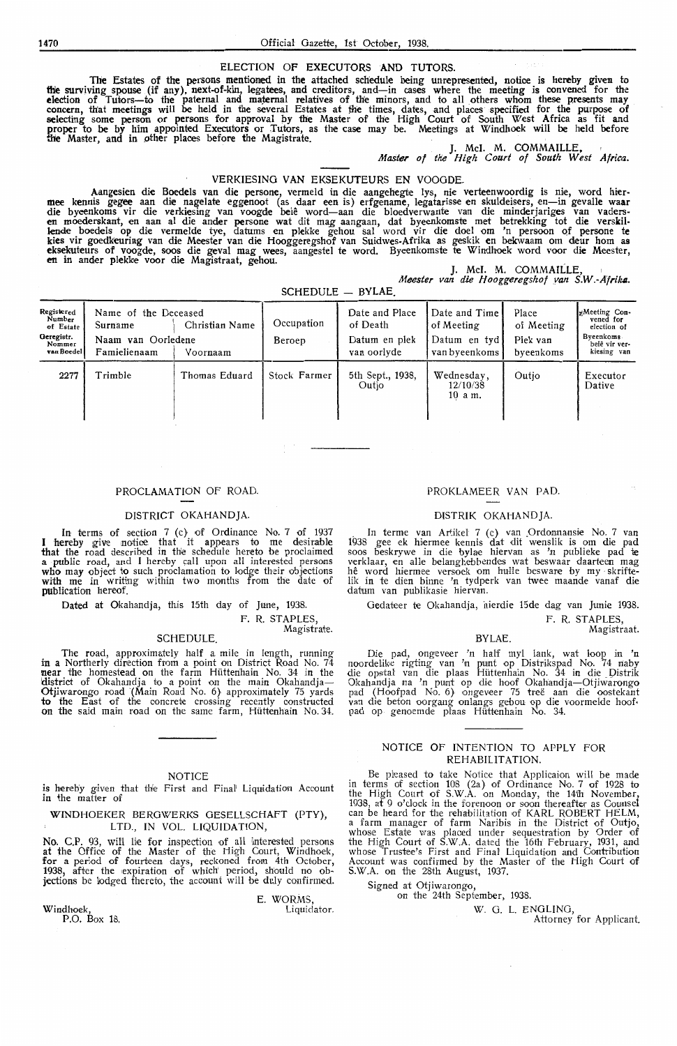#### ELECTION OF EXECUTORS AND TUTORS.

The Estates of the persons mentioned in the attached schedule being unrepresented, notice is hereby given to<br>the surviving spouse (if any), next-of-kin, legatees, and creditors, and—in cases where the meeting is convened f election of Tutors-to the paternal and maternal relatives of the minors, and to all others whom these presents may concern, that meetings will be held in the several Estates at the times, dates, and places specified for the purpose of selecting some person or persons for approval by the Master of the High Court of South West Africa as fit and proper to be by him appointed Executors or Tutors, as the case may be. Meetings at Windhoek will be held before<br>the Master, and in other places before the Magistrate. J. McI. M. COMMAILLE,

*Master of tlie High Court of South West Afrie,a.* 

#### VERKIESING VAN EKSEKUTEURS EN VOOGDE.

Aangesien die Boedels van die persone, vermeld in die aangehegte lys, nie verteenwoordig is nie, word hier-<br>mee kennis gegee aan die nagelate eggenoot (as daar een is) erfgename, legatarisse en skuldeisers, en—in gevalle w lende boedels op die vermelde tye, datums en plekke gehou sal word vir die doel om 'n persoon Qf persone **te**  kies vir goedkeuring van die Meester van die Hooggeregshof van Suidwes-Afrika as geskik en bekwaam om deur hom as<br>eksekuteurs of voogde, soos die geval mag wees, aangestel te word. Byeenkomste te Windhoek word voor die Mee

*Meester van die Hooggeregshof van* **S.W.-Afri/uJ..** 

 $SCHFDULE = BVLAE$ 

| Registered<br>Number<br>of Estate<br>Geregistr.<br>Nommer<br>van Boedel | Name of the Deceased<br>Surname<br>Naam van Oorledene<br>Famielienaam | Christian Name<br>Voornaam | Occupation<br>Beroep | Date and Place<br>of Death<br>Datum en plek<br>van oorlyde | Date and Time<br>of Meeting<br>Datum en tyd!<br>van byeenkoms | Place<br>of Meeting<br>Plek van<br>byeenkoms | «Meeting Con-<br>vened for<br>election of<br>Byeenkoms.<br>belê vir ver-<br>kiesing van |
|-------------------------------------------------------------------------|-----------------------------------------------------------------------|----------------------------|----------------------|------------------------------------------------------------|---------------------------------------------------------------|----------------------------------------------|-----------------------------------------------------------------------------------------|
| 2277                                                                    | Trimble                                                               | Thomas Eduard              | Stock Farmer         | 5th Sept., 1938,<br>Outio                                  | Wednesday,<br>12/10/38<br>$10$ a m.                           | Outio                                        | Executor<br>Dative                                                                      |

#### PROCLAMATION OF ROAD.

#### DISTRICT OKAHANDJA

In terms of section 7 (c} of Ordinance No. 7 of 1937 I hereby give notice that it appears to me desirable **that** the road described in the schedule hereto be proclaimed **a** . public road, and I hereby call upon all interested persons who may object to such proclamation to lodge their objections with me in writing within two months from the date of publication hereof.

Dated at Okahandja, this 15th day of June, 1938.

F. R. STAPLES,

Magistrate.

#### SCHEDULE.

The road, approximately half a mile in length, running in a Northerly direction from a point on District Road No. 74 near the homestead on the farm Hiittenhain No. 34 in the district of Okahandja to a point on the main Okahandja-Otjiwarongo road (Main Road No. 6) approximately 75 yards to the East of the concrete crossing receatly constructed on the said main road on the same farm, Hüttenhain No. 34.

#### **NOTICE**

is hereby given that the First and Final Liquidation Account in the matter of

WINDHOEKER BEROWERKS OESELLSCHAFT (PTY), LTD., IN VOL. LIQUIDATION

No. C.P. 93, will lie for inspection of all interested persons at the Office of the Master of the High Court, Windhoek, for a period of fourteen days, reckoned from 4th October, 1938, after the expiration of which' period, should no objections be lodged thereto, the account will be duly confirmed.

Windhoek,

P.O. Box 18.

E. WORMS

#### Liquidator.

#### PROKLAMEER VAN PAD.

#### DISTRIK OKAHANDJA.

In terme van Artikel 7 (c), van Ordonnansie No. 7 van 1938 gee ek hiermee kennis dat dit wenslik is om die pad soos beskrywe in die bylae hiervan as 'n publieke pad te verklaar, en al1e belanghebbendes wat beswaar daarteen mag hê word hiermee versoek om hulle besware by my skriftelik in te dien binne 'n tydperk van twee maande vanaf die datum van publikasie hiervan.

Gedateer te Okahandia, hierdie 15de dag van Junie 1938.

F. R. STAPLES Magistraat.

BYLAE.

Die pad, ongeveer 'n half myl lank, wat loop in 'n noordelike rigting van 'n punt op Distrikspad No. 74 naby die opstal van die plaas Hüttenhain No. 34 in die Distrik Okahandja na 'n punt op die hoof Okahandja-Otjiwarongo pad (Hoofpad No. 6) ongeveer 75 tree aan die oostekant van die beton oorgang onlangs gebou op die voormelde hoof pad op genoemde plaas Hüttenhain No. 34.

#### NOTICE OF INTENTION TO APPLY FOR REHABILITATION

Be pleased to take Notice that Applicaion will be made in terms of section 108 (2a) of Ordinance No. 7 of 1928 to the High Court of S.W.A. on Monday, the 14th November, 1938, at 9 o'clock in the forenoon or soon thereafter as Counsel can be heard for the rehabilitation of KARL ROBERT HELM, a farm manager of farm Naribis in the District of Outjo, whose Estate was placed under sequestration by Order of the High Court of S.W.A. dated the 16th February, 1931, and whose Trustee's First and Final Liquidation and Contribution Account was confirmed by the Master of the High Court of S.W.A. on the 28th August, 1937.

Signed at Otjiwarongo, on the 24th September, 1938.

W. 0. L. ENOLINO,

Attorney for Applicant.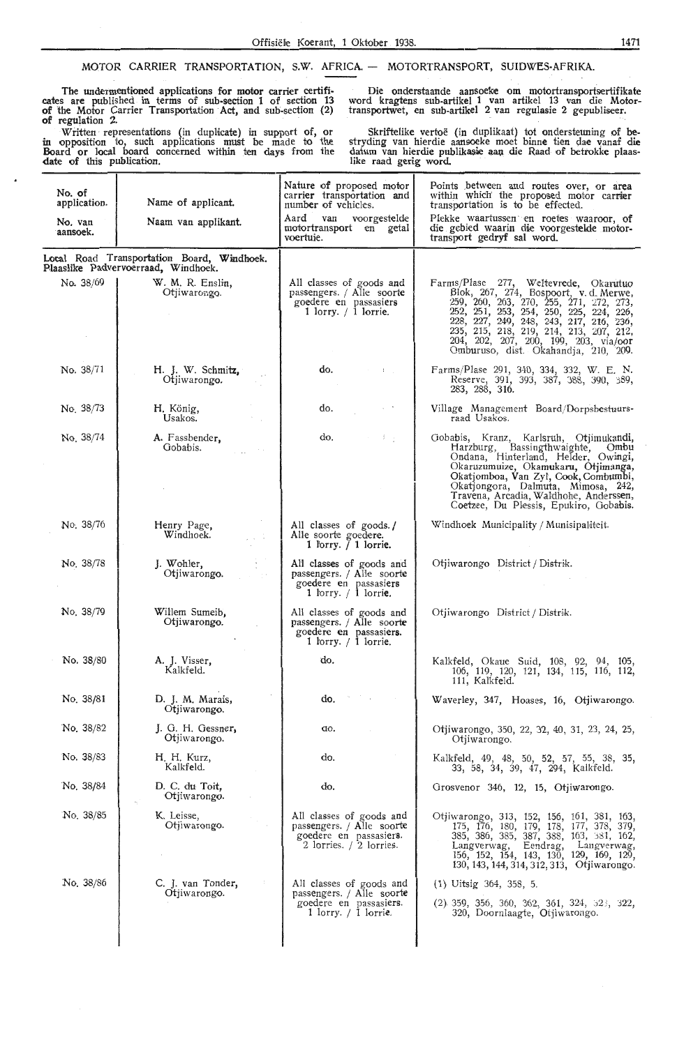#### MOTOR CARRIER TRANSPORTATION, S.W. AFRICA. - MOTORTRANSPORT, SUIDWES-AFRIKA.

The undermentioned applications for motor carrier certificates are published in terms of sub-section 1 of section 13 **of** the Motor Carrier Transportation Act, and sub-section (2) **of** regulation 2.

Written representations (in duplicate) in support of, or in opposition to, such applications must be made to the Board or local board concerned within ten days from the date of this publication.

Die onderstaande aansoeke om motortransportsertifikate word kragtens sub-artikel 1 van artikel 13 van die Motortransportwet, en sub-artikel 2 van regulasie 2 gepubliseer.

Skriftelike vertoe (in duplikaat) tot ondersteuning of hestryding van hierdie aanooeke moet binne tien dae \f'anaf die datum van hierdie publikasie aan die Raad of betrokke plaas-<br>like raad gerig word.

| No. of<br>application. | Name of applicant.                                                                | Nature of proposed motor<br>carrier transportation and<br>number of vehicles.                                     | Points between and routes over, or area<br>within which the proposed motor carrier<br>transportation is to be effected.                                                                                                                                                                                                                  |
|------------------------|-----------------------------------------------------------------------------------|-------------------------------------------------------------------------------------------------------------------|------------------------------------------------------------------------------------------------------------------------------------------------------------------------------------------------------------------------------------------------------------------------------------------------------------------------------------------|
| No. van<br>aansoek.    | Naam van applikant.                                                               | Aard van<br>voorgestelde<br>motortransport en getal<br>voertuie.                                                  | Plekke waartussen en roetes waaroor, of<br>die gebied waarin die voorgestelde motor-<br>transport gedryf sal word.                                                                                                                                                                                                                       |
|                        | Local Road Transportation Board, Windhoek.<br>Plaaslike Padvervoerraad, Windhoek. |                                                                                                                   |                                                                                                                                                                                                                                                                                                                                          |
| No. 38/69              | W. M. R. Enslin,<br>Otjiwarongo.                                                  | All classes of goods and<br>passengers. / Alle soorte<br>goedere en passasiers<br>1 lorry. $/$ 1 lorrie.          | Farms/Plase 277, Weltevrede, Okarutuo<br>Blok, 267, 274, Bospoort, v.d. Merwe, 259, 260, 263, 270, 255, 271, 272, 273,<br>252, 251, 253, 254, 250, 225, 224, 226,<br>228, 227, 249, 248, 243, 217, 216, 236,<br>235, 215, 218, 219, 214, 213, 207, 212,<br>204, 202, 207, 200, 199, 203, via/oor<br>Omburuso, dist. Okahandja, 210, 209. |
| No. 38/71              | H. J. W. Schmitz,<br>Otjiwarongo.                                                 | do.<br>$1.1\%$                                                                                                    | Farms/Plase 291, 340, 334, 332, W. E. N.<br>Reserve, 391, 393, 387, 388, 390, 389,<br>283, 288, 316.                                                                                                                                                                                                                                     |
| No. 38/73              | H. König,<br>Usakos.                                                              | do.                                                                                                               | Village Management Board/Dorpsbestuurs-<br>raad Usakos.                                                                                                                                                                                                                                                                                  |
| No. 38/74              | A. Fassbender,<br>Gobabis.                                                        | do.<br>$\mathbb{R}^n$ .                                                                                           | Gobabis, Kranz, Karlsruh, Otjimukandi,<br>Harzburg, Bassingthwaighte, Ombu<br>Ondana, Hinterland, Helder, Owingi,<br>Okaruzumuize, Okamukaru, Otjimanga,<br>Okatjomboa, Van Zyl, Cook, Combumbi,<br>Okatjongora, Dalmuta, Mimosa, 242,<br>Travena, Arcadia, Waldhohe, Anderssen,<br>Coetzee, Du Plessis, Epukiro, Gobabis.               |
| No. 38/76              | Henry Page,<br>Windhoek.<br>$1.1\%$                                               | All classes of goods./<br>Alle soorte goedere.<br>1 lorry. $\bar{}/$ 1 lorrie.                                    | Windhoek Municipality / Munisipaliteit.                                                                                                                                                                                                                                                                                                  |
| No. 38/78              | J. Wohler,<br>Otjiwarongo.                                                        | All classes of goods and<br>passengers. / Alle soorte<br>goedere en passasiers<br>1 lorry. $\pi$ 1 lorrie.        | Otjiwarongo District / Distrik.                                                                                                                                                                                                                                                                                                          |
| No. 38/79              | Willem Sumeib,<br>Otjiwarongo.                                                    | All classes of goods and<br>passengers. / Alle soorte<br>goedere en passasiers.<br>1 lorry. $\frac{1}{1}$ lorrie. | Otjiwarongo District / Distrik.                                                                                                                                                                                                                                                                                                          |
| No. 38/80              | A. J. Visser,<br>Kalkfeld.                                                        | do.                                                                                                               | Kalkfeld, Okaue Suid, 108, 92, 94, 105,<br>106, 119, 120, 121, 134, 115, 116, 112,<br>111, Kalkfeld.                                                                                                                                                                                                                                     |
| No. 38/81              | D. J. M. Marais,<br>Otjiwarongo.                                                  | do.                                                                                                               | Waverley, 347, Hoases, 16, Otjiwarongo.                                                                                                                                                                                                                                                                                                  |
| No. 38/82              | J. G. H. Gessner,<br>Otjiwarongo.                                                 | do.                                                                                                               | Otjiwarongo, 350, 22, 32, 40, 31, 23, 24, 25,<br>Otjiwarongo.                                                                                                                                                                                                                                                                            |
| No. 38/83              | H. H. Kurz,<br>Kalkfeld.                                                          | do.                                                                                                               | Kalkfeld, 49, 48, 50, 52, 57, 55, 38, 35,<br>33, 58, 34, 39, 47, 294, Kalkfeld.                                                                                                                                                                                                                                                          |
| No. 38/84              | D. C. du Toit,<br>Otjiwarongo.                                                    | do.                                                                                                               | Grosvenor 346, 12, 15, Otjiwarongo.                                                                                                                                                                                                                                                                                                      |
| No. 38/85              | K. Leisse,<br>Otjiwarongo.                                                        | All classes of goods and<br>passengers. / Alle soorte<br>goedere en passasiers.<br>2 lorries. / 2 lorries.        | Otjiwarongo, 313, 152, 156, 161, 381, 163,<br>175, 176, 180, 179, 178, 177, 378, 379,<br>385, 386, 385, 387, 388, 163, 381, 162,<br>Langverwag, Eendrag, Langverwag,<br>156, 152, 154, 143, 130, 129, 169, 129,<br>130, 143, 144, 314, 312, 313, Otjiwarongo.                                                                            |
| No. 38/86              | C. J. van Tonder,<br>Otjiwarongo.                                                 | All classes of goods and<br>passengers. / Alle soorte<br>goedere en passasiers.<br>1 lorry. $/$ 1 lorrie.         | $(1)$ Uitsig 364, 358, 5.<br>$(2)$ 359, 356, 360, 362, 361, 324, 323, 322,<br>320, Doornlaagte, Otjiwarongo.                                                                                                                                                                                                                             |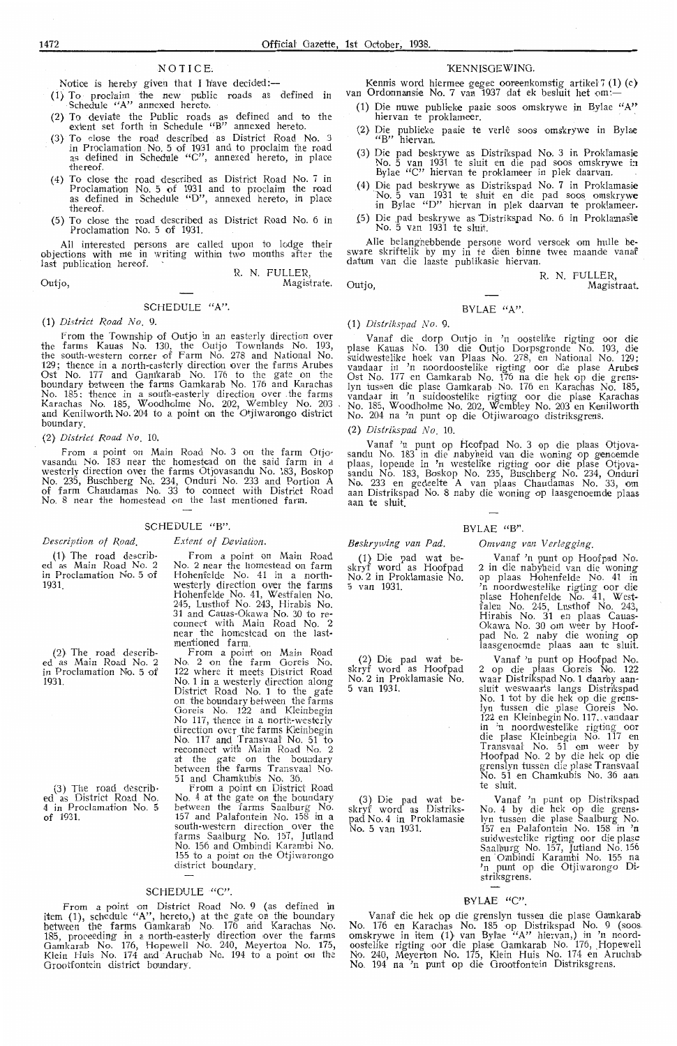#### NOTICE.

Notice is hereby given that I h'ave decided:-

(1) To prodaim the new public roads as defined in • Schedule "A" annexed hereto.

- (2} To deviate the Public roads as defined and to the extent set forth in Schedule "B" annexed hereto.
- (3) To clos,e the mad described as District Road No. 3 in Proclamation . No. 5 of 1931 and to proclaim the road as defined in Schedule ''C", annexed hereto, in place thereof.
- (4) To close the road described as District Road No. 7 in Proclamation No. 5 of 1931 and to proclaim the road as defined in Schedule "D", annexed hereto-, in place thereof.
- (5) To close the road described as District Road No. 6 in Proclamation No. 5 of 1931.

All interested persons are called upon to lodge their objections with me in writing within two months after the last publication hereof. R. N. FULLER,

Outjo,

#### SCHEDULE "A".

#### (1) *District Road No.* 9.

From the Township of Outjo in an easterly direction over the farms Kauas No. 130, the Outjo Townlands No. 193, the south-western corner of Farm No. 278 and National No. 129; thence in a north-easterly direction over the farms Arubes Ost No. 177 and Oamkarab No. 176 to the gate on the boundary between the farms Gamkarab No. 176 and Karachas No. 185: thence in a south-easterly direction over the farms Karachas No. 185, Woodholme No. 202, Wembley No. 203 and Kenilworth No. 204 to a point on the Otjiwarongo district boundary.

(2) *District Road No.* 10.

From a point on Main Road No. 3 on the farm Otjovasandu No. 183 near the homestead on the said farm in a westerly direction over the farms Otjovasandu No. 183, Boskop No. 235, Buschberg No. 234, Onduri No. 233 and Portion A of farm Chaudamas No. 33 to connect with District Road No. 8 near the homestead on the last mentioned farm.

#### SCHEDULE "B".

#### *Description of Road.*

( 1} The road described as Main Road No. 2 in Proclamation No. 5 of 1931.

(2} The road described as Main Road No. 2 in Proclamation No. 5 of 1931.

(3) The road describ<br>• ed as District Road No.<br>• 4 in Proclamation No. of 1931.

*Extent of Deviation.* 

From a point on Main Road No. 2 near the homestead on farm Hohenfelde No. 41 in a northwesterly direction over the farms Hohenfelde No. 41, Westfalen No. 245, Lusthof No. 243, Hirabis No. 31 and Cauas-Okawa No. 30 to re- connect wHh Main Road No. 2 near the homestead on the lastmentioned farm.

From a point on Main Road No. 2 on the farm Goreis No. 122 where it meets District Road No. 1 in a westerly direction along District Road No. 1 to the gate on the boundary between the farms Goreis No. 122 and Kleinbegin No 117, thence in a north-westerly direction over the farms Kleinbegin No. 117 and Transvaal No. 51 to reconnect with Main Road No. 2 at the gate on the boundary between the farms Transvaal No.<br>51 and Chamkubis No. 36.

From a point on District Road No. 4 at the gate on the boundary between the farms Saalburg No. 157 and Palafontein No. 158 in a south-western direction over the farms Saalburg No. 157, Jutland No. 156 and Ombindi Karambi No. 155 to a point on the Otjiwarongo district boundary.

## SCHEDULE "C"

From a point on District Road No. 9 (as defined in item  $(1)$ , schedule "A", hereto,) at the gate on the boundary between the farms Gamkarab No. 176 and Karachas No. 185, proceeding in a north-easterly direction over the farms Gamkarab No. 176, Hopewell No. 240, Meyerton No. 175, Klein Huis No. 174 and Aruchab No. 194 to a point on the Grootfontein district boundary

#### **KENNISGEWING**

Kennis word hiermee gegee ooreenkomstig artikel 7 (1) (c) van Ordonnansie No. 7 van 1937 dat ek besluit het om:-

- (1) Die nuwe publieke paaie soos omskrywe in Bylae "A" hiervan te proklameer.
- (2} Die publieke paaie te verle soos omskrywe in Bylae "B" hiervan.
- (3) Die pad beskrywe as Distrikspad No. 3 in Prokfamasie No. 5 van 1931 te sluit en die pad soos omskrywe in Bylae "C" hiervan te proklameer in plek daarvan.
- (4) Die pad beskrywe as Distrikspad No. 7 in Proklamasie No. 5 van 1931 te sluit en die pad soos omskrywe<br>in Bylae "D" hiervan in plek daarvan te proklameer.
- (5) Die pad beskrywe as Distrikspad No. 6 in Proklamasie No. 5 van 1931 te sluit.

Alle belanghebbende persone word versoek om hulle be-<br>sware skriftelik by my in te dien binne twee maande vanaf datum van die laaste publikasie hiervan.

Outio

Magistrate.

#### BVLAE  $(4)$ "

(1) *Distrikspad No .* 9.

Vanaf die dorp Outjo in 'n oostelike rigting oor die plase Kauas No. 130 die Outjo Dorpsgronde No. 193, die suidwestelike hoek van Plaas No. 278, en National No. 129; vandaar in 'n noordoostelike rigting oor die plase Arubes<br>Ost No. 177 en Gamkarab No. 176 na die hek op die grens-<br>lyn tussen die plase Gamkarab No. 176 en Karachas No. 185, vandaar in 'n suidoostelike rigting oor die plase Karachas No. 185, Woodholme No. 202, Wembley No. 203 en Kenilworth<br>No. 204 na 'n punt op die Otjiwarongo distriksgrens.

(2} *Distrikspad No .* 10.

Vanaf 'n punt op Hoofpad No. 3 op die plaas Otjova-<br>sandu No. 183 in die nabyheid van die woning op genoemde plaas, lopende in 'n westelike rigting oor die plase Otjovasandu No. 183, Boskop No. 235, Buschberg No. 234, Onduri No. 233 en gedeelte A van plaas Chaudamas No. 33, om aan Distrikspad No. 8 naby die woning op laasgenoemde plaas aan te sluit.

#### $RVI \Delta F$  " $RV$ "

Beskrywing van Pad.

 $(1)$  Die pad wat beskryf word as Hoofpad No. 2 in Proklamasie No.  $5 \text{ van } 1931$ 

(2) Die pad wat beskryf word as Hoofpad No. 2 in Proklamasie No. 5 van 1931.

(3) Die pad wat beskryf word as Distrikspad No. 4 in Proklamasie No. 5 van 1931.

*Omvang van Verlegging.* 

Vanaf 'n punt op Hoofpad No.<br>2 in die nabyheid van die woning op plaas Hohenfelde No. 41 in 'n noordwestelike rigting oor die plase Hohenfelde No. 41, Westfalen No. 245, Lusthof No. 243,<br>Hirabis No. 31 en plaas Cauas-Okawa No. 30 om weer by Hoofpad No. 2 naby die woning op laasgenoemde plaas aan te sluit.

R. N. FULLER,

Magistraat.

Vanaf 'n punt op Hoofpad No. 2 op die plaas Ooreis No . 122 waar Distrikspad No. 1 daarby aan- sluit weswaarts langs Distrikspad No. 1 tot by die hek op die grenslyn tussen die plase Goreis No.<br>122 en Kleinbegin No. 117. vandaar in 'n noordwestelike rigting oor<br>die plase Kleinbegin No. 117 en<br>Transvaal No. 51 om weer by Hoofpad No. 2 by die hek op die grenslyn tussen die plase Transvaal No. 51 en Chamkubis No. 36 aan te sluit.

Vanaf 'n punt op Distrikspad<br>No. 4 by die hek op die grenslyn tussen die plase Saalburg No. 157 en Palafontein No. 158 in 'n suidwestelike rigting oor die plase Saalburg No. 157, Jutland No. 156<br>en Ombindi Karambi No. 155 na<br>'n punt op die Otjiwarongo Distriksgrens.

#### BYLAE "C".

Vanaf die hek op die grenslyn tussen die plase Gamkarab No. 176 en Karachas No. 185 op Distrikspad No. 9 (soos omskrywe in item (1) van Bylae "A" hiervan,) in 'n noord oostelike rigting oor die plase Gamkarab No. 176, Hopewell No. 240, Meyerton No. 175, Klein Huis No. 174 en Aruchab No. 194 na 'n punt op die Grootfontein Distriksgrens.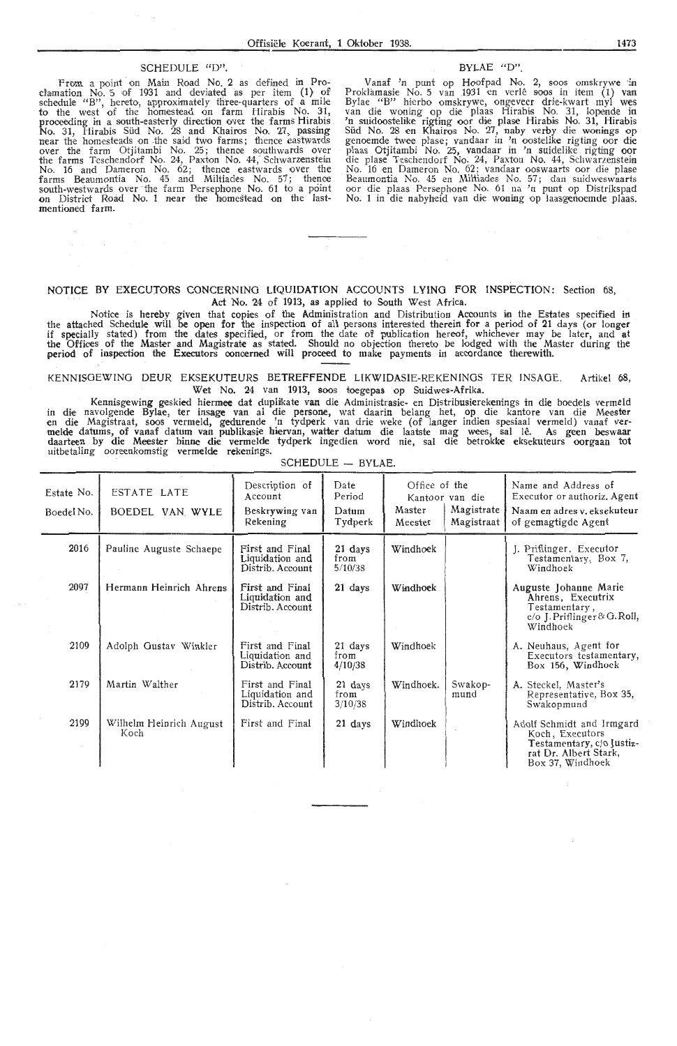# Offis<br>
SCHEDULE "D".

From a point· on Main Road No. 2 as defined in Prodamation No. 5 of 1931 and deviated as per item (1} of schedule "B", hereto, approximately three-quarters of a mile to the west of the homestead on farm Hirabis No. 31, proceeding in a south-easterly direction over the farms Hirabis No. 31, Hirabis Süd No. 28 and Khairos No. 27, passing<br>near the homesteads on the said two farms; thence eastwards<br>over the farm Otjitambi No. 25; thence southwards over<br>the farms Teschendorf No. 24, Paxton No. 44, Schwarz No. 16 and Dameron No. 62; thenoe eastwards over the farms Beaumontia No. 45 and Miltiades No. 57; thence<br>south-westwards over the farm Persephone No. 61 to a point<br>on District Road No. 1 near the homestead on the lastmentioned farm.

#### BYLAE "D".

Vanaf 'n punt op Hoofpad No. 2, soos omskrywe in Proklamasie No. 5 van 1931 en verle soos in item (1) van<br>Bylae "B" hierbo omskrywe, ongeveer drie-kwart myl wes<br>van die woning op die plaas Hirabis No. 31, lopende in 'n suidoostelike rigting oor die plase Hirabis No. 31, Hirabis Siid No. 28 en Khairos No. 27, naby ve rby die wonings op genoemde twee plase; vandaar in 'n oostelike rigting oor die plaas Otjitambi No. 25, vandaar in 'n suidelike rigting **oor**<br>die plase Teschendorf No. 24, Paxton No. 44, Schwarzenstein No. 16 en Dameron No. 62; vandaar ooswaarts oor die plase Beaumontia No. 45 en Miltiades No. 57; dan suidweswaarts<br>oor die plaas Persephone No. 61 na 'n punt op Distrikspad No. 1 in die nabyheid van die woning op laasgenoemde plaas.

#### NOTICE BY EXECUTORS CONCERNING LIQUIDATION ACCOUNTS LYING FOR INSPECTION: Section 68, Act No. 24 of 1913, as applied to South West Africa.

Notice is hereby given that copies of the Administration and Distribution Accounts in the Estates specified in the attached Schedule will be open for the inspection of all persons interested therein for a period of 21 days (or longer if specially stated) from the dates specified, or from the date of publication hereof, whichever may be later, and at the Offices of the Master and Magistrate as stated. Should no objection thereto be lodged with the Master during the period of inspection the Executors oonoerned will proceed to make payments in accordance therewith.

KENNISOEWING DEUR EKSEKUTEURS BETREFFENDE LIKWIDASIE-REKENINGS TER INSAGE. Artikel 68, Wet No. 24 van 1913, soos toegepas op Suidwes-Afrika.

Kennisgewing geskied hiermee dat duplilkate van die Administrasie- en Distribusierekenings in die boedels verrneld in die navolgende Bylae, ter insage van al die persone, wat daarin belang het, op die kantore van die Meester<br>en die Magistraat, soos vermeld, gedurende 'n tydperk van drie weke (of langer indien spesiaal vermeld) vanaf<br>me daarteen by die Meester binne die vermelde tydperk ingedien word nie, sal die betrokke eksekuteurs oorgaan tot uitbetaling ooreenkomstig vermelde rekenings.

| Estate No.<br>Boedel No. | ESTATE LATE<br>BOEDEL VAN WYLE  | Description of<br>Account<br>Beskrywing van<br>Rekening | Date<br>Period<br>Datum<br>Tydperk | Office of the<br>Master<br>Meester | Kantoor van die<br>Magistrate<br>Magistraat | Name and Address of<br>Executor or authoriz. Agent<br>Naam en adres v. eksekuteur<br>of gemagtigde Agent               |
|--------------------------|---------------------------------|---------------------------------------------------------|------------------------------------|------------------------------------|---------------------------------------------|------------------------------------------------------------------------------------------------------------------------|
| 2016                     | Pauline Auguste Schaepe         | First and Final<br>Liquidation and<br>Distrib. Account  | 21 days<br>from<br>5/10/38         | Windhoek                           |                                             | J. Priflinger, Executor<br>Testamentary, Box 7,<br>Windhoek                                                            |
| 2097                     | Hermann Heinrich Ahrens         | First and Final<br>Liquidation and<br>Distrib. Account  | 21 days                            | Windhoek                           |                                             | Auguste Johanne Marie<br>Ahrens, Executrix<br>Testamentary,<br>c/o J. Priflinger & G. Roll,<br>Windhock                |
| 2109                     | Adolph Gustav Winkler           | First and Final<br>Liquidation and<br>Distrib. Account  | 21 days<br>from<br>4/10/38         | Windhoek                           |                                             | A. Neuhaus, Agent for<br>Executors testamentary,<br>Box 156, Windhoek                                                  |
| 2179                     | Martin Walther                  | First and Final<br>Liquidation and<br>Distrib. Account  | 21 days<br>from<br>3/10/38         | Windhoek.                          | Swakop-<br>mund                             | A. Steckel, Master's<br>Representative, Box 35,<br>Swakopmund                                                          |
| 2199                     | Wilhelm Heinrich August<br>Koch | First and Final                                         | 21 days                            | Windhoek                           |                                             | Adolf Schmidt and Irmgard<br>Koch, Executors<br>Testamentary, c/o Justiz-<br>rat Dr. Albert Stark,<br>Box 37, Windhoek |

SCHEDULE - BYLAE.